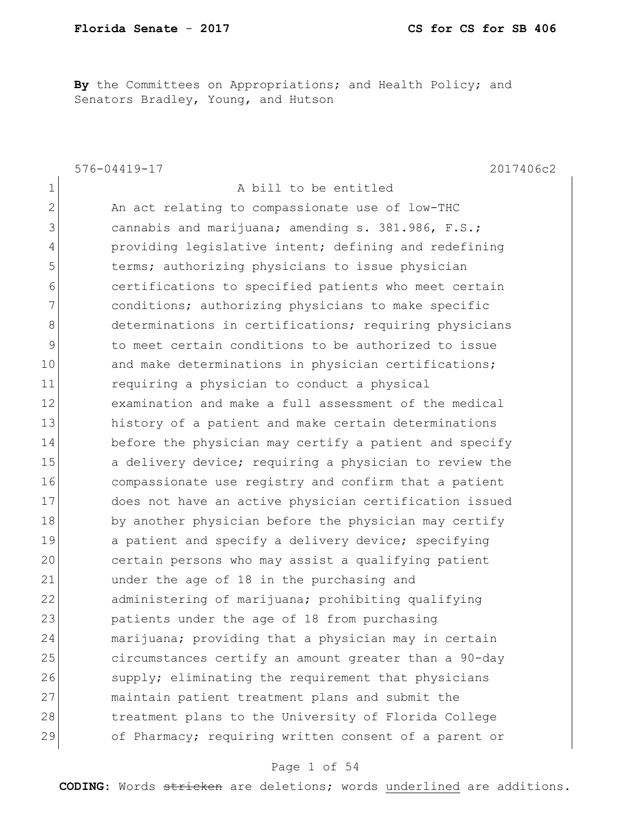**By** the Committees on Appropriations; and Health Policy; and Senators Bradley, Young, and Hutson

576-04419-17 2017406c2 1 a bill to be entitled 2 An act relating to compassionate use of low-THC 3 cannabis and marijuana; amending s. 381.986, F.S.; 4 providing legislative intent; defining and redefining 5 terms; authorizing physicians to issue physician 6 certifications to specified patients who meet certain 7 **conditions;** authorizing physicians to make specific 8 determinations in certifications; requiring physicians 9 to meet certain conditions to be authorized to issue 10 and make determinations in physician certifications; 11 requiring a physician to conduct a physical 12 examination and make a full assessment of the medical 13 history of a patient and make certain determinations 14 before the physician may certify a patient and specify 15 a delivery device; requiring a physician to review the 16 compassionate use registry and confirm that a patient 17 does not have an active physician certification issued 18 by another physician before the physician may certify 19 a patient and specify a delivery device; specifying 20 certain persons who may assist a qualifying patient 21 ander the age of 18 in the purchasing and 22 administering of marijuana; prohibiting qualifying 23 patients under the age of 18 from purchasing 24 marijuana; providing that a physician may in certain 25 circumstances certify an amount greater than a 90-day 26 Supply; eliminating the requirement that physicians 27 maintain patient treatment plans and submit the 28 treatment plans to the University of Florida College 29 of Pharmacy; requiring written consent of a parent or

### Page 1 of 54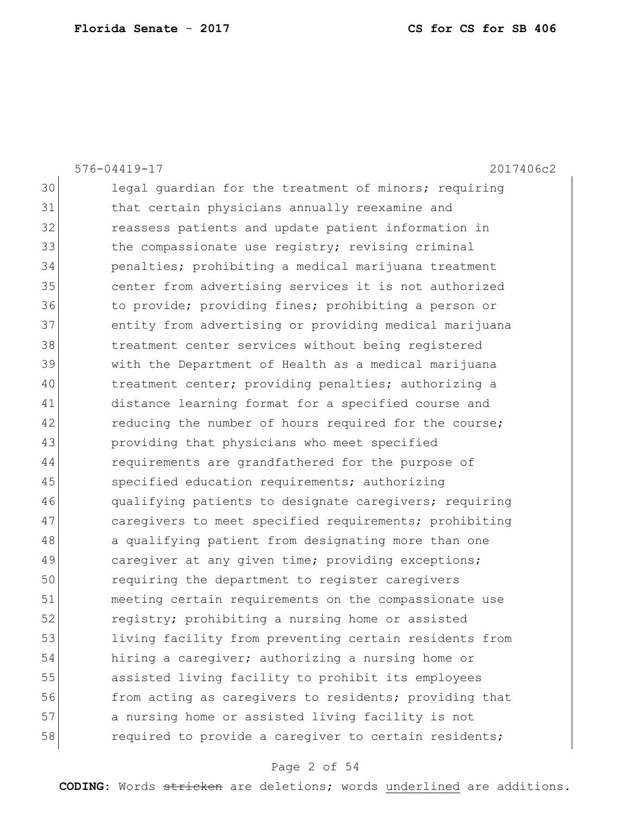|    | 2017406c2<br>576-04419-17                              |
|----|--------------------------------------------------------|
| 30 | legal quardian for the treatment of minors; requiring  |
| 31 | that certain physicians annually reexamine and         |
| 32 | reassess patients and update patient information in    |
| 33 | the compassionate use registry; revising criminal      |
| 34 | penalties; prohibiting a medical marijuana treatment   |
| 35 | center from advertising services it is not authorized  |
| 36 | to provide; providing fines; prohibiting a person or   |
| 37 | entity from advertising or providing medical marijuana |
| 38 | treatment center services without being registered     |
| 39 | with the Department of Health as a medical marijuana   |
| 40 | treatment center; providing penalties; authorizing a   |
| 41 | distance learning format for a specified course and    |
| 42 | reducing the number of hours required for the course;  |
| 43 | providing that physicians who meet specified           |
| 44 | requirements are grandfathered for the purpose of      |
| 45 | specified education requirements; authorizing          |
| 46 | qualifying patients to designate caregivers; requiring |
| 47 | caregivers to meet specified requirements; prohibiting |
| 48 | a qualifying patient from designating more than one    |
| 49 | caregiver at any given time; providing exceptions;     |
| 50 | requiring the department to register caregivers        |
| 51 | meeting certain requirements on the compassionate use  |
| 52 | registry; prohibiting a nursing home or assisted       |
| 53 | living facility from preventing certain residents from |
| 54 | hiring a caregiver; authorizing a nursing home or      |
| 55 | assisted living facility to prohibit its employees     |
| 56 | from acting as caregivers to residents; providing that |
| 57 | a nursing home or assisted living facility is not      |
| 58 | required to provide a careqiver to certain residents;  |
|    |                                                        |

# Page 2 of 54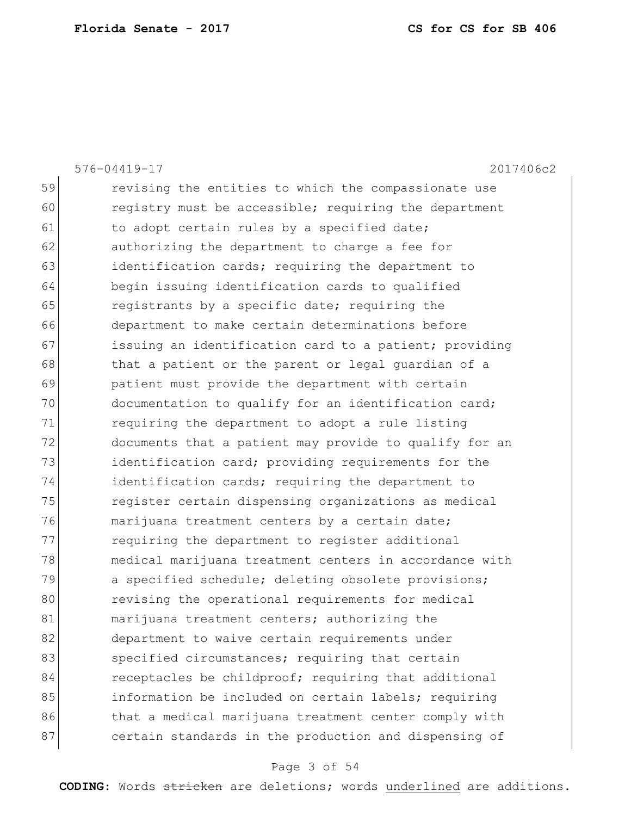|    | 576-04419-17<br>2017406c2                              |
|----|--------------------------------------------------------|
| 59 | revising the entities to which the compassionate use   |
| 60 | registry must be accessible; requiring the department  |
| 61 | to adopt certain rules by a specified date;            |
| 62 | authorizing the department to charge a fee for         |
| 63 | identification cards; requiring the department to      |
| 64 | begin issuing identification cards to qualified        |
| 65 | registrants by a specific date; requiring the          |
| 66 | department to make certain determinations before       |
| 67 | issuing an identification card to a patient; providing |
| 68 | that a patient or the parent or legal guardian of a    |
| 69 | patient must provide the department with certain       |
| 70 | documentation to qualify for an identification card;   |
| 71 | requiring the department to adopt a rule listing       |
| 72 | documents that a patient may provide to qualify for an |
| 73 | identification card; providing requirements for the    |
| 74 | identification cards; requiring the department to      |
| 75 | register certain dispensing organizations as medical   |
| 76 | marijuana treatment centers by a certain date;         |
| 77 | requiring the department to register additional        |
| 78 | medical marijuana treatment centers in accordance with |
| 79 | a specified schedule; deleting obsolete provisions;    |
| 80 | revising the operational requirements for medical      |
| 81 | marijuana treatment centers; authorizing the           |
| 82 | department to waive certain requirements under         |
| 83 | specified circumstances; requiring that certain        |
| 84 | receptacles be childproof; requiring that additional   |
| 85 | information be included on certain labels; requiring   |
| 86 | that a medical marijuana treatment center comply with  |
| 87 | certain standards in the production and dispensing of  |

# Page 3 of 54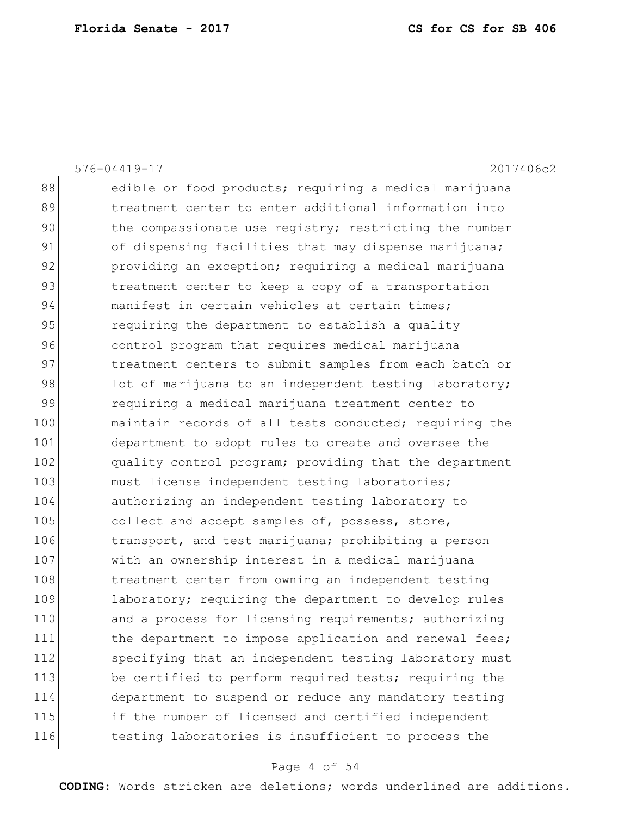|     | 576-04419-17<br>2017406c2                              |
|-----|--------------------------------------------------------|
| 88  | edible or food products; requiring a medical marijuana |
| 89  | treatment center to enter additional information into  |
| 90  | the compassionate use registry; restricting the number |
| 91  | of dispensing facilities that may dispense marijuana;  |
| 92  | providing an exception; requiring a medical marijuana  |
| 93  | treatment center to keep a copy of a transportation    |
| 94  | manifest in certain vehicles at certain times;         |
| 95  | requiring the department to establish a quality        |
| 96  | control program that requires medical marijuana        |
| 97  | treatment centers to submit samples from each batch or |
| 98  | lot of marijuana to an independent testing laboratory; |
| 99  | requiring a medical marijuana treatment center to      |
| 100 | maintain records of all tests conducted; requiring the |
| 101 | department to adopt rules to create and oversee the    |
| 102 | quality control program; providing that the department |
| 103 | must license independent testing laboratories;         |
| 104 | authorizing an independent testing laboratory to       |
| 105 | collect and accept samples of, possess, store,         |
| 106 | transport, and test marijuana; prohibiting a person    |
| 107 | with an ownership interest in a medical marijuana      |
| 108 | treatment center from owning an independent testing    |
| 109 | laboratory; requiring the department to develop rules  |
| 110 | and a process for licensing requirements; authorizing  |
| 111 | the department to impose application and renewal fees; |
| 112 | specifying that an independent testing laboratory must |
| 113 | be certified to perform required tests; requiring the  |
| 114 | department to suspend or reduce any mandatory testing  |
| 115 | if the number of licensed and certified independent    |
| 116 | testing laboratories is insufficient to process the    |
|     |                                                        |

# Page 4 of 54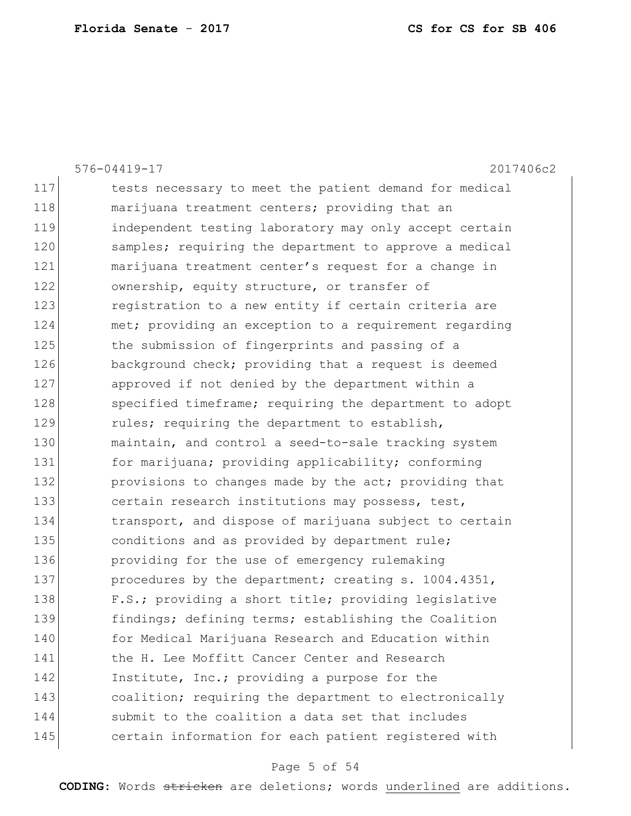|     | 2017406c2<br>576-04419-17                              |
|-----|--------------------------------------------------------|
| 117 | tests necessary to meet the patient demand for medical |
| 118 | marijuana treatment centers; providing that an         |
| 119 | independent testing laboratory may only accept certain |
| 120 | samples; requiring the department to approve a medical |
| 121 | marijuana treatment center's request for a change in   |
| 122 | ownership, equity structure, or transfer of            |
| 123 | registration to a new entity if certain criteria are   |
| 124 | met; providing an exception to a requirement regarding |
| 125 | the submission of fingerprints and passing of a        |
| 126 | background check; providing that a request is deemed   |
| 127 | approved if not denied by the department within a      |
| 128 | specified timeframe; requiring the department to adopt |
| 129 | rules; requiring the department to establish,          |
| 130 | maintain, and control a seed-to-sale tracking system   |
| 131 | for marijuana; providing applicability; conforming     |
| 132 | provisions to changes made by the act; providing that  |
| 133 | certain research institutions may possess, test,       |
| 134 | transport, and dispose of marijuana subject to certain |
| 135 | conditions and as provided by department rule;         |
| 136 | providing for the use of emergency rulemaking          |
| 137 | procedures by the department; creating s. 1004.4351,   |
| 138 | F.S.; providing a short title; providing legislative   |
| 139 | findings; defining terms; establishing the Coalition   |
| 140 | for Medical Marijuana Research and Education within    |
| 141 | the H. Lee Moffitt Cancer Center and Research          |
| 142 | Institute, Inc.; providing a purpose for the           |
| 143 | coalition; requiring the department to electronically  |
| 144 | submit to the coalition a data set that includes       |
| 145 | certain information for each patient registered with   |
|     |                                                        |

# Page 5 of 54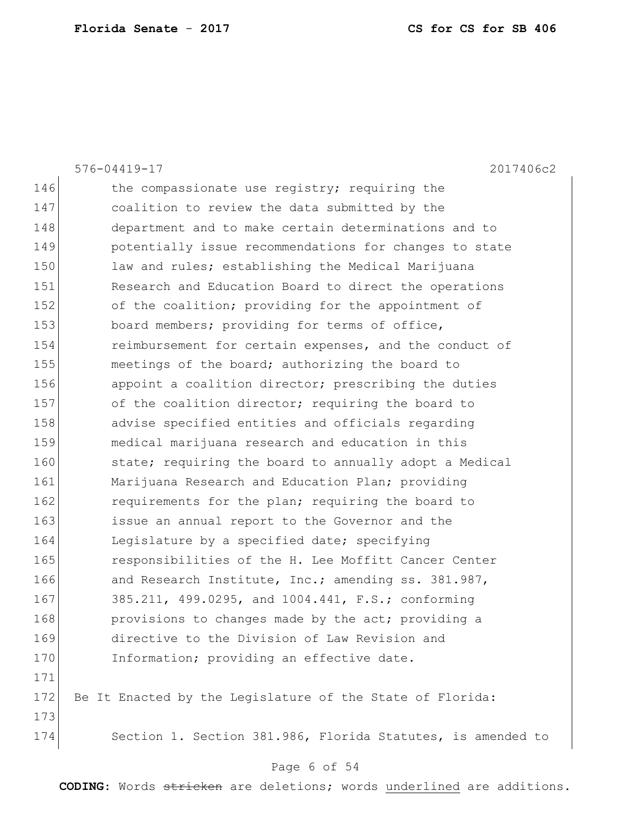|     | 576-04419-17<br>2017406c2                                   |
|-----|-------------------------------------------------------------|
| 146 | the compassionate use registry; requiring the               |
| 147 | coalition to review the data submitted by the               |
| 148 | department and to make certain determinations and to        |
| 149 | potentially issue recommendations for changes to state      |
| 150 | law and rules; establishing the Medical Marijuana           |
| 151 | Research and Education Board to direct the operations       |
| 152 | of the coalition; providing for the appointment of          |
| 153 | board members; providing for terms of office,               |
| 154 | reimbursement for certain expenses, and the conduct of      |
| 155 | meetings of the board; authorizing the board to             |
| 156 | appoint a coalition director; prescribing the duties        |
| 157 | of the coalition director; requiring the board to           |
| 158 | advise specified entities and officials regarding           |
| 159 | medical marijuana research and education in this            |
| 160 | state; requiring the board to annually adopt a Medical      |
| 161 | Marijuana Research and Education Plan; providing            |
| 162 | requirements for the plan; requiring the board to           |
| 163 | issue an annual report to the Governor and the              |
| 164 | Legislature by a specified date; specifying                 |
| 165 | responsibilities of the H. Lee Moffitt Cancer Center        |
| 166 | and Research Institute, Inc.; amending ss. 381.987,         |
| 167 | 385.211, 499.0295, and 1004.441, F.S.; conforming           |
| 168 | provisions to changes made by the act; providing a          |
| 169 | directive to the Division of Law Revision and               |
| 170 | Information; providing an effective date.                   |
| 171 |                                                             |
| 172 | Be It Enacted by the Legislature of the State of Florida:   |
| 173 |                                                             |
| 174 | Section 1. Section 381.986, Florida Statutes, is amended to |
|     |                                                             |

# Page 6 of 54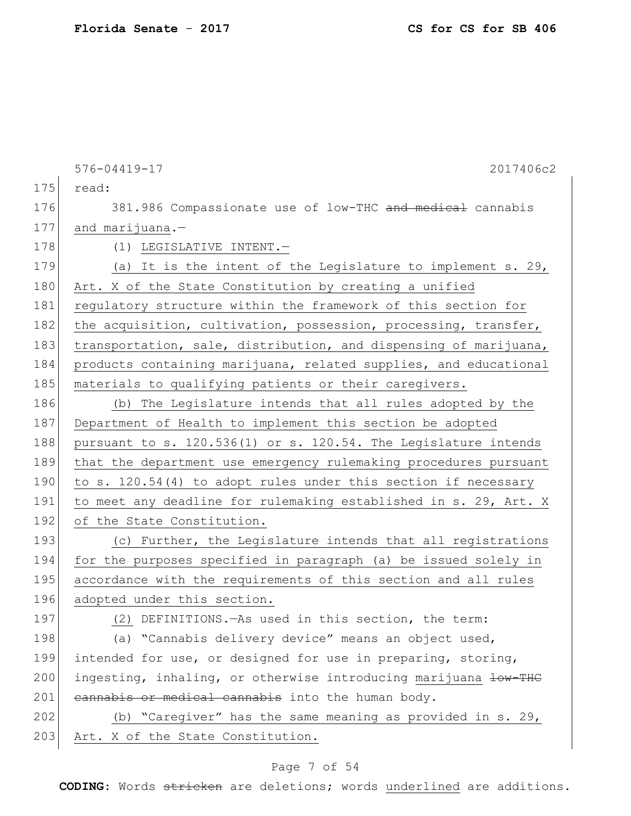|     | 576-04419-17<br>2017406c2                                                  |
|-----|----------------------------------------------------------------------------|
| 175 | read:                                                                      |
| 176 | 381.986 Compassionate use of low-THC and medical cannabis                  |
| 177 | and marijuana.-                                                            |
| 178 | (1) LEGISLATIVE INTENT.-                                                   |
| 179 | (a) It is the intent of the Legislature to implement s. 29,                |
| 180 | Art. X of the State Constitution by creating a unified                     |
| 181 | regulatory structure within the framework of this section for              |
| 182 | the acquisition, cultivation, possession, processing, transfer,            |
| 183 | transportation, sale, distribution, and dispensing of marijuana,           |
| 184 | products containing marijuana, related supplies, and educational           |
| 185 | materials to qualifying patients or their caregivers.                      |
| 186 | (b) The Legislature intends that all rules adopted by the                  |
| 187 | Department of Health to implement this section be adopted                  |
| 188 | pursuant to s. 120.536(1) or s. 120.54. The Legislature intends            |
| 189 | that the department use emergency rulemaking procedures pursuant           |
| 190 | to s. 120.54(4) to adopt rules under this section if necessary             |
| 191 | to meet any deadline for rulemaking established in s. 29, Art. X           |
| 192 | of the State Constitution.                                                 |
| 193 | (c) Further, the Legislature intends that all registrations                |
| 194 | for the purposes specified in paragraph (a) be issued solely in            |
| 195 | accordance with the requirements of this section and all rules             |
| 196 | adopted under this section.                                                |
| 197 | (2) DEFINITIONS. - As used in this section, the term:                      |
| 198 | (a) "Cannabis delivery device" means an object used,                       |
| 199 | intended for use, or designed for use in preparing, storing,               |
| 200 | ingesting, inhaling, or otherwise introducing marijuana <del>low-THC</del> |
| 201 | cannabis or medical cannabis into the human body.                          |
| 202 | (b) "Caregiver" has the same meaning as provided in s. 29,                 |
| 203 | Art. X of the State Constitution.                                          |
|     |                                                                            |

# Page 7 of 54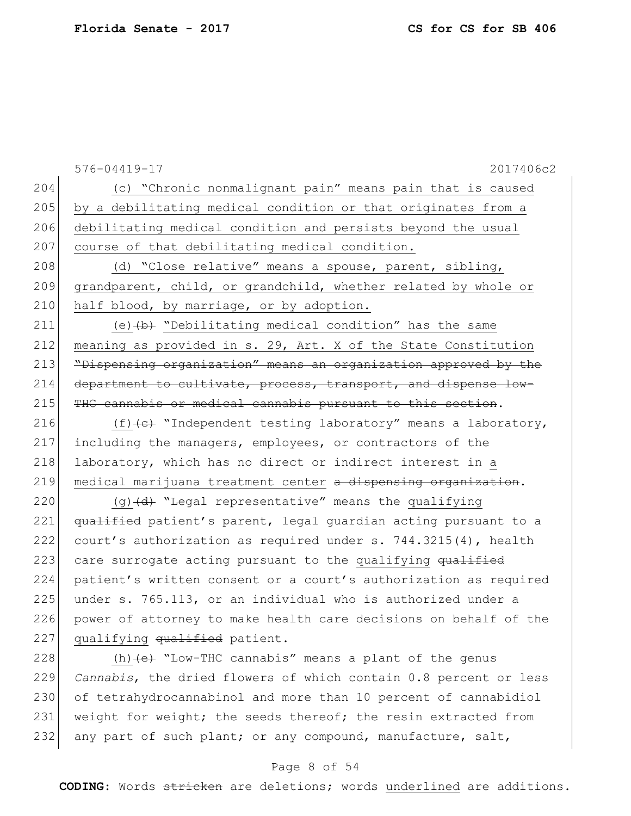|     | $576 - 04419 - 17$<br>2017406c2                                             |
|-----|-----------------------------------------------------------------------------|
| 204 | (c) "Chronic nonmalignant pain" means pain that is caused                   |
| 205 | by a debilitating medical condition or that originates from a               |
| 206 | debilitating medical condition and persists beyond the usual                |
| 207 | course of that debilitating medical condition.                              |
| 208 | (d) "Close relative" means a spouse, parent, sibling,                       |
| 209 | grandparent, child, or grandchild, whether related by whole or              |
| 210 | half blood, by marriage, or by adoption.                                    |
| 211 | (e) $\{b\}$ "Debilitating medical condition" has the same                   |
| 212 | meaning as provided in s. 29, Art. X of the State Constitution              |
| 213 | "Dispensing organization" means an organization approved by the             |
| 214 | department to cultivate, process, transport, and dispense low-              |
| 215 | THC cannabis or medical cannabis pursuant to this section.                  |
| 216 | (f) $\left\{e\right\}$ "Independent testing laboratory" means a laboratory, |
| 217 | including the managers, employees, or contractors of the                    |
| 218 | laboratory, which has no direct or indirect interest in a                   |
| 219 | medical marijuana treatment center a dispensing organization.               |
| 220 | $(g)$ $(d)$ "Legal representative" means the qualifying                     |
| 221 | qualified patient's parent, legal quardian acting pursuant to a             |
| 222 | court's authorization as required under s. 744.3215(4), health              |
| 223 | care surrogate acting pursuant to the qualifying qualified                  |
| 224 | patient's written consent or a court's authorization as required            |
| 225 | under s. 765.113, or an individual who is authorized under a                |
| 226 | power of attorney to make health care decisions on behalf of the            |
| 227 | qualifying qualified patient.                                               |
| 228 | (h) $\leftarrow$ "Low-THC cannabis" means a plant of the genus              |
| 229 | Cannabis, the dried flowers of which contain 0.8 percent or less            |
| 230 | of tetrahydrocannabinol and more than 10 percent of cannabidiol             |
| 231 | weight for weight; the seeds thereof; the resin extracted from              |

### Page 8 of 54

232 any part of such plant; or any compound, manufacture, salt,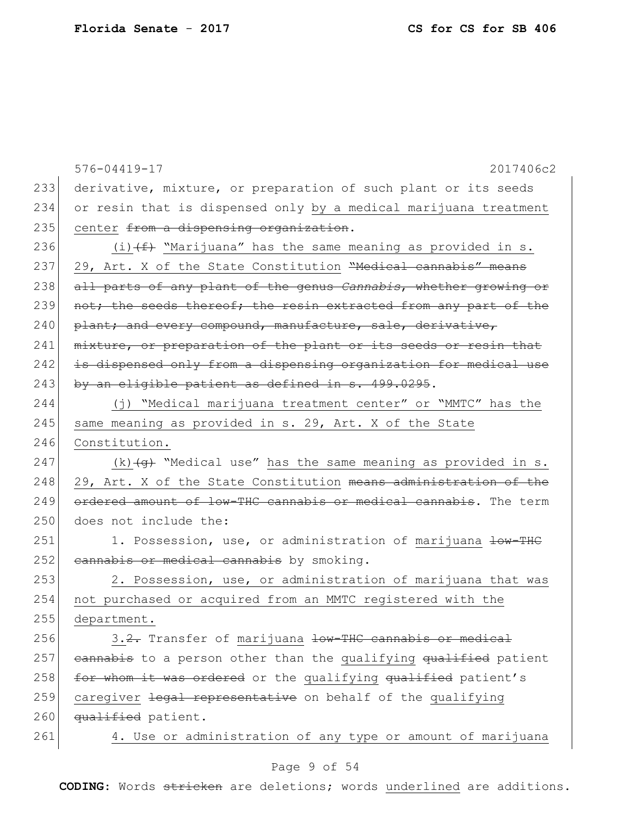|     | 576-04419-17<br>2017406c2                                                 |
|-----|---------------------------------------------------------------------------|
| 233 | derivative, mixture, or preparation of such plant or its seeds            |
| 234 | or resin that is dispensed only by a medical marijuana treatment          |
| 235 | center from a dispensing organization.                                    |
| 236 | (i) $(f)$ "Marijuana" has the same meaning as provided in s.              |
| 237 | 29, Art. X of the State Constitution "Medical cannabis" means             |
| 238 | all parts of any plant of the genus Cannabis, whether growing or          |
| 239 | not; the seeds thereof; the resin extracted from any part of the          |
| 240 | plant; and every compound, manufacture, sale, derivative,                 |
| 241 | mixture, or preparation of the plant or its seeds or resin that           |
| 242 | is dispensed only from a dispensing organization for medical use          |
| 243 | by an eligible patient as defined in s. 499.0295.                         |
| 244 | (j) "Medical marijuana treatment center" or "MMTC" has the                |
| 245 | same meaning as provided in s. 29, Art. X of the State                    |
| 246 | Constitution.                                                             |
| 247 | (k) $\overline{(g)}$ "Medical use" has the same meaning as provided in s. |
| 248 | 29, Art. X of the State Constitution means administration of the          |
| 249 | ordered amount of low-THC cannabis or medical cannabis. The term          |
| 250 | does not include the:                                                     |
| 251 | 1. Possession, use, or administration of marijuana low-THC                |
| 252 | cannabis or medical cannabis by smoking.                                  |
| 253 | 2. Possession, use, or administration of marijuana that was               |
| 254 | not purchased or acquired from an MMTC registered with the                |
| 255 | department.                                                               |
| 256 | 3.2. Transfer of marijuana low-THC cannabis or medical                    |
| 257 | eannabis to a person other than the qualifying qualified patient          |
| 258 | for whom it was ordered or the qualifying qualified patient's             |
| 259 | caregiver legal representative on behalf of the qualifying                |
| 260 | qualified patient.                                                        |
| 261 | 4. Use or administration of any type or amount of marijuana               |

# Page 9 of 54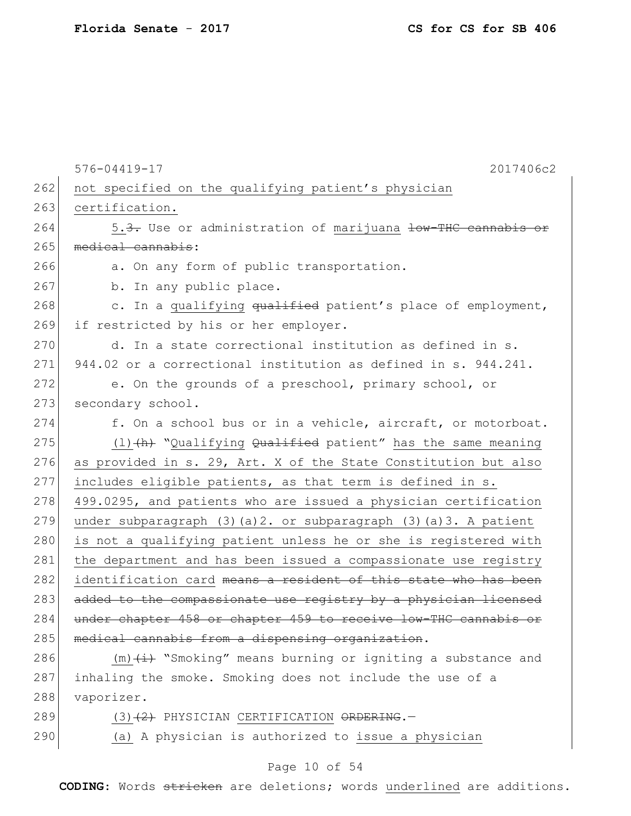|     | $576 - 04419 - 17$<br>2017406c2                                                |
|-----|--------------------------------------------------------------------------------|
| 262 | not specified on the qualifying patient's physician                            |
| 263 | certification.                                                                 |
| 264 | 5.3. Use or administration of marijuana low-THC can                            |
| 265 | medical cannabis:                                                              |
| 266 | a. On any form of public transportation.                                       |
| 267 | b. In any public place.                                                        |
| 268 | c. In a qualifying qualified patient's place of employment,                    |
| 269 | if restricted by his or her employer.                                          |
| 270 | d. In a state correctional institution as defined in s.                        |
| 271 | 944.02 or a correctional institution as defined in s. 944.241.                 |
| 272 | e. On the grounds of a preschool, primary school, or                           |
| 273 | secondary school.                                                              |
| 274 | f. On a school bus or in a vehicle, aircraft, or motorboat.                    |
| 275 | $(1)$ $(h)$ "Qualifying Qualified patient" has the same meaning                |
| 276 | as provided in s. 29, Art. X of the State Constitution but also                |
| 277 | includes eligible patients, as that term is defined in s.                      |
| 278 | 499.0295, and patients who are issued a physician certification                |
| 279 | under subparagraph $(3)$ $(a)$ $2.$ or subparagraph $(3)$ $(a)$ $3.$ A patient |
| 280 | is not a qualifying patient unless he or she is registered with                |
| 281 | the department and has been issued a compassionate use registry                |
| 282 | identification card means a resident of this state who has been                |
| 283 | added to the compassionate use registry by a physician licensed                |
| 284 | under chapter 458 or chapter 459 to receive low-THC cannabis or                |
| 285 | medical cannabis from a dispensing organization.                               |
| 286 | $(m)$ $(\pm)$ "Smoking" means burning or igniting a substance and              |
| 287 | inhaling the smoke. Smoking does not include the use of a                      |
| 288 | vaporizer.                                                                     |
| 289 | $(3)$ $(2)$ PHYSICIAN CERTIFICATION ORDERING.                                  |

290  $(a)$  A physician is authorized to issue a physician

### Page 10 of 54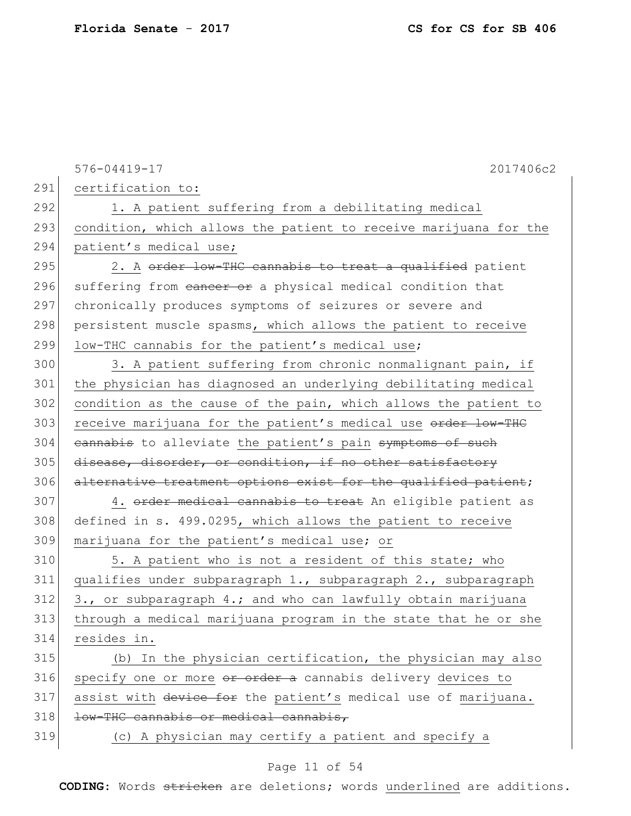|     | 2017406c2<br>576-04419-17                                        |
|-----|------------------------------------------------------------------|
| 291 | certification to:                                                |
| 292 | 1. A patient suffering from a debilitating medical               |
| 293 | condition, which allows the patient to receive marijuana for the |
| 294 | patient's medical use;                                           |
| 295 | 2. A order low-THC cannabis to treat a qualified patient         |
| 296 | suffering from eancer or a physical medical condition that       |
| 297 | chronically produces symptoms of seizures or severe and          |
| 298 | persistent muscle spasms, which allows the patient to receive    |
| 299 | low-THC cannabis for the patient's medical use;                  |
| 300 | 3. A patient suffering from chronic nonmalignant pain, if        |
| 301 | the physician has diagnosed an underlying debilitating medical   |
| 302 | condition as the cause of the pain, which allows the patient to  |
| 303 | receive marijuana for the patient's medical use order low-THC    |
| 304 | eannabis to alleviate the patient's pain symptoms of such        |
| 305 | disease, disorder, or condition, if no other satisfactory        |
| 306 | alternative treatment options exist for the qualified patient;   |
| 307 | 4. order medical cannabis to treat An eligible patient as        |
| 308 | defined in s. 499.0295, which allows the patient to receive      |
| 309 | marijuana for the patient's medical use; or                      |
| 310 | 5. A patient who is not a resident of this state; who            |
| 311 | qualifies under subparagraph 1., subparagraph 2., subparagraph   |
| 312 | 3., or subparagraph 4.; and who can lawfully obtain marijuana    |
| 313 | through a medical marijuana program in the state that he or she  |
| 314 | resides in.                                                      |
| 315 | (b) In the physician certification, the physician may also       |
| 316 | specify one or more or order a cannabis delivery devices to      |
| 317 | assist with device for the patient's medical use of marijuana.   |
| 318 | low-THC cannabis or medical cannabis,                            |
| 319 | (c) A physician may certify a patient and specify a              |

# Page 11 of 54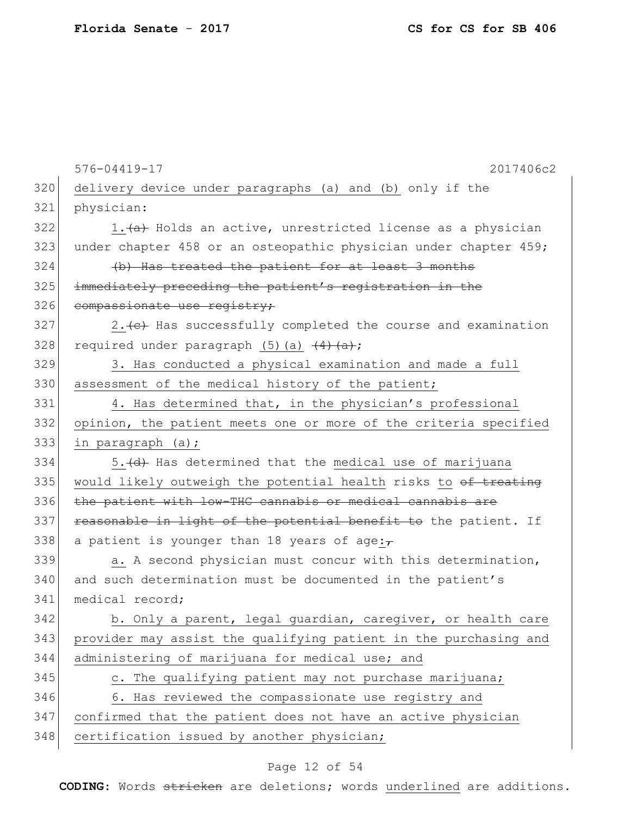|     | 2017406c2<br>$576 - 04419 - 17$                                  |
|-----|------------------------------------------------------------------|
| 320 | delivery device under paragraphs (a) and (b) only if the         |
| 321 | physician:                                                       |
| 322 | 1. (a) Holds an active, unrestricted license as a physician      |
| 323 | under chapter 458 or an osteopathic physician under chapter 459; |
| 324 | (b) Has treated the patient for at least 3 months                |
| 325 | immediately preceding the patient's registration in the          |
| 326 | compassionate use registry;                                      |
| 327 | 2. (e) Has successfully completed the course and examination     |
| 328 | required under paragraph $(5)$ (a) $\frac{4 + 4 + 3}{4}$ ;       |
| 329 | 3. Has conducted a physical examination and made a full          |
| 330 | assessment of the medical history of the patient;                |
| 331 | 4. Has determined that, in the physician's professional          |
| 332 | opinion, the patient meets one or more of the criteria specified |
| 333 | in paragraph (a);                                                |
| 334 | 5. (d) Has determined that the medical use of marijuana          |
| 335 | would likely outweigh the potential health risks to of treating  |
| 336 | the patient with low-THC cannabis or medical cannabis are        |
| 337 | reasonable in light of the potential benefit to the patient. If  |
| 338 | a patient is younger than 18 years of age: $\tau$                |
| 339 | a. A second physician must concur with this determination,       |
| 340 | and such determination must be documented in the patient's       |
| 341 | medical record;                                                  |
| 342 | b. Only a parent, legal guardian, caregiver, or health care      |
| 343 | provider may assist the qualifying patient in the purchasing and |
| 344 | administering of marijuana for medical use; and                  |
| 345 | c. The qualifying patient may not purchase marijuana;            |
| 346 | 6. Has reviewed the compassionate use registry and               |
| 347 | confirmed that the patient does not have an active physician     |
| 348 | certification issued by another physician;                       |
|     |                                                                  |

# Page 12 of 54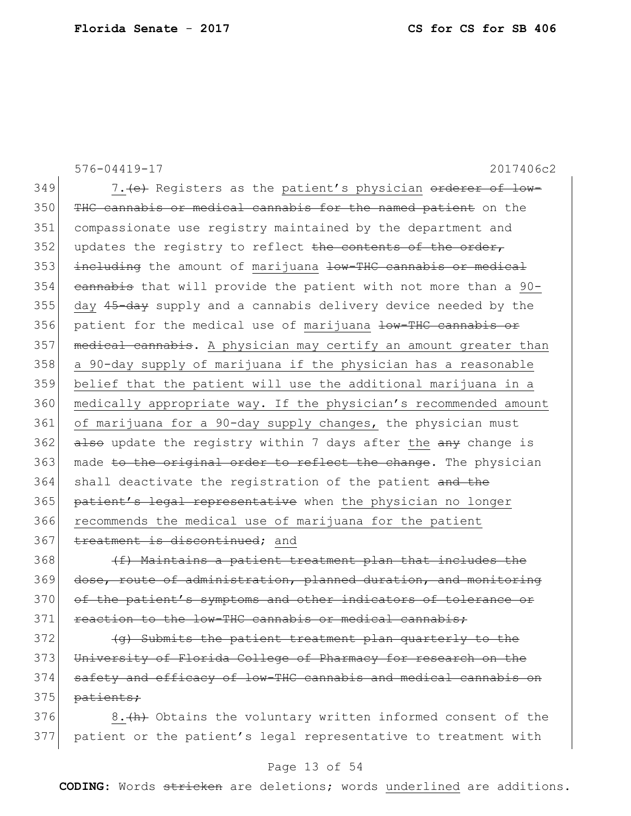576-04419-17 2017406c2 349 7. (e) Registers as the patient's physician orderer of low-350 THC cannabis or medical cannabis for the named patient on the 351 compassionate use registry maintained by the department and  $352$  updates the registry to reflect the contents of the order, 353 including the amount of marijuana low-THC cannabis or medical 354 cannabis that will provide the patient with not more than a 90-355 day 45-day supply and a cannabis delivery device needed by the 356 patient for the medical use of marijuana low-THC cannabis or 357 medical cannabis. A physician may certify an amount greater than 358 a 90-day supply of marijuana if the physician has a reasonable 359 belief that the patient will use the additional marijuana in a 360 medically appropriate way. If the physician's recommended amount 361 of marijuana for a 90-day supply changes, the physician must 362 also update the registry within 7 days after the  $\frac{any}{any}$  change is 363 made to the original order to reflect the change. The physician 364 shall deactivate the registration of the patient and the 365 patient's legal representative when the physician no longer 366 recommends the medical use of marijuana for the patient 367 treatment is discontinued; and

368 (f) Maintains a patient treatment plan that includes the 369 dose, route of administration, planned duration, and monitoring 370 of the patient's symptoms and other indicators of tolerance or 371 reaction to the low-THC cannabis or medical cannabis;

 $372$  (q) Submits the patient treatment plan quarterly to the 373 University of Florida College of Pharmacy for research on the 374 safety and efficacy of low-THC cannabis and medical cannabis on 375 patients;

376 8. (A) Obtains the voluntary written informed consent of the 377 patient or the patient's legal representative to treatment with

### Page 13 of 54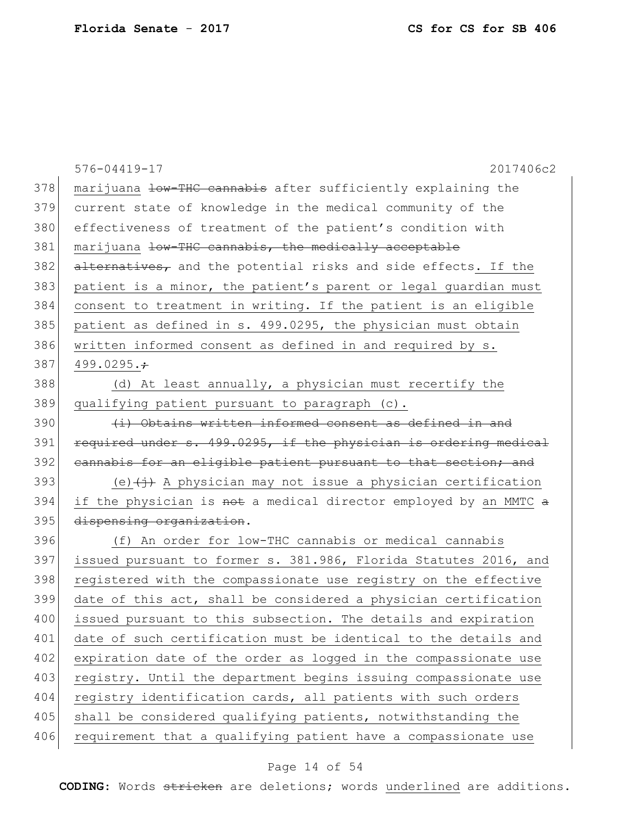|     | 576-04419-17<br>2017406c2                                                |
|-----|--------------------------------------------------------------------------|
| 378 | marijuana low-THC cannabis after sufficiently explaining the             |
| 379 | current state of knowledge in the medical community of the               |
| 380 | effectiveness of treatment of the patient's condition with               |
| 381 | marijuana low-THC cannabis, the medically acceptable                     |
| 382 | alternatives, and the potential risks and side effects. If the           |
| 383 | patient is a minor, the patient's parent or legal guardian must          |
| 384 | consent to treatment in writing. If the patient is an eligible           |
| 385 | patient as defined in s. 499.0295, the physician must obtain             |
| 386 | written informed consent as defined in and required by s.                |
| 387 | 499.0295. $\div$                                                         |
| 388 | (d) At least annually, a physician must recertify the                    |
| 389 | qualifying patient pursuant to paragraph (c).                            |
| 390 | (i) Obtains written informed consent as defined in and                   |
| 391 | required under s. 499.0295, if the physician is ordering medical         |
| 392 | eannabis for an eligible patient pursuant to that section; and           |
| 393 | (e) $\overline{(+)}$ A physician may not issue a physician certification |
| 394 | if the physician is not a medical director employed by an MMTC a         |
| 395 | dispensing organization.                                                 |
| 396 | (f) An order for low-THC cannabis or medical cannabis                    |
| 397 | issued pursuant to former s. 381.986, Florida Statutes 2016, and         |
| 398 | registered with the compassionate use registry on the effective          |
| 399 | date of this act, shall be considered a physician certification          |
| 400 | issued pursuant to this subsection. The details and expiration           |
| 401 | date of such certification must be identical to the details and          |
| 402 | expiration date of the order as logged in the compassionate use          |
| 403 | registry. Until the department begins issuing compassionate use          |
| 404 | registry identification cards, all patients with such orders             |
| 405 | shall be considered qualifying patients, notwithstanding the             |
| 406 | requirement that a qualifying patient have a compassionate use           |
|     |                                                                          |

# Page 14 of 54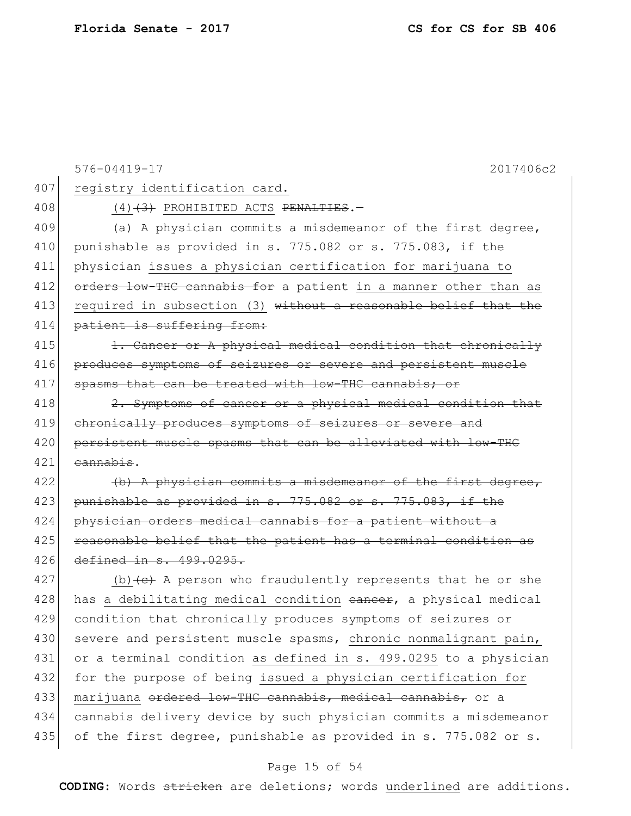|     | 2017406c2<br>$576 - 04419 - 17$                                            |
|-----|----------------------------------------------------------------------------|
| 407 | registry identification card.                                              |
| 408 | $(4)$ $(3)$ PROHIBITED ACTS PENALTIES.                                     |
| 409 | (a) A physician commits a misdemeanor of the first degree,                 |
| 410 | punishable as provided in s. 775.082 or s. 775.083, if the                 |
| 411 | physician issues a physician certification for marijuana to                |
| 412 | orders low-THC cannabis for a patient in a manner other than as            |
| 413 | required in subsection (3) without a reasonable belief that the            |
| 414 | patient is suffering from:                                                 |
| 415 | 1. Cancer or A physical medical condition that chronically                 |
| 416 | produces symptoms of seizures or severe and persistent muscle              |
| 417 | spasms that can be treated with low-THC cannabis; or                       |
| 418 | 2. Symptoms of cancer or a physical medical condition that                 |
| 419 | chronically produces symptoms of seizures or severe and                    |
| 420 | persistent muscle spasms that can be alleviated with low-THC               |
| 421 | cannabis.                                                                  |
| 422 | $(b)$ A physician commits a misdemeanor of the first degree,               |
| 423 | punishable as provided in s. 775.082 or s. 775.083, if the                 |
| 424 | physician orders medical cannabis for a patient without a                  |
| 425 | reasonable belief that the patient has a terminal condition as             |
| 426 | defined in s. 499.0295.                                                    |
| 427 | (b) $\left\{e\right\}$ A person who fraudulently represents that he or she |
| 428 | has a debilitating medical condition eancer, a physical medical            |
| 429 | condition that chronically produces symptoms of seizures or                |
| 430 | severe and persistent muscle spasms, chronic nonmalignant pain,            |
| 431 | or a terminal condition as defined in s. 499.0295 to a physician           |
| 432 | for the purpose of being issued a physician certification for              |
| 433 | marijuana ordered low-THC cannabis, medical cannabis, or a                 |
| 434 | cannabis delivery device by such physician commits a misdemeanor           |
| 435 | of the first degree, punishable as provided in s. 775.082 or s.            |
|     | Page 15 of 54                                                              |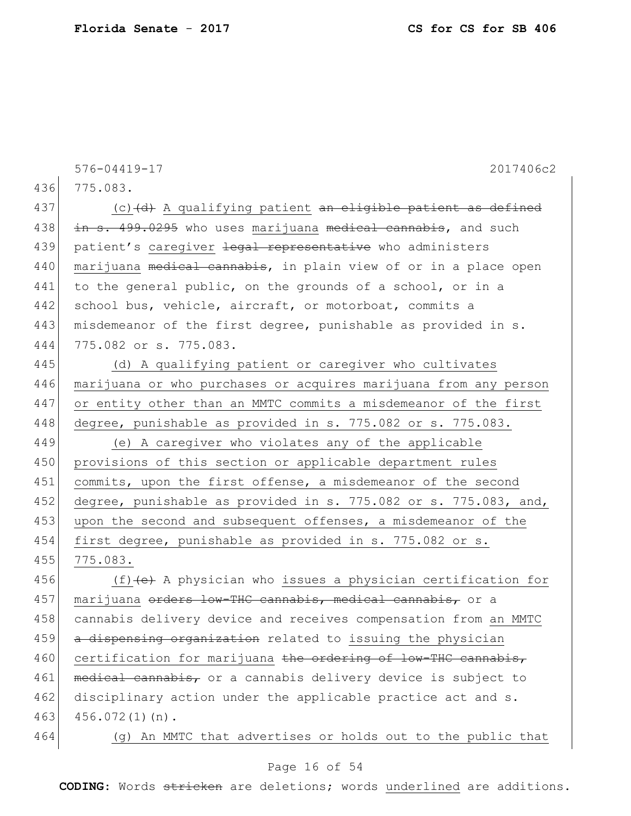576-04419-17 2017406c2 436 775.083. 437 (c) $\left(d\right)$  A qualifying patient an eligible patient as defined  $438$  in s.  $499.0295$  who uses marijuana medical cannabis, and such 439 patient's caregiver <del>legal representative</del> who administers 440 | marijuana <del>medical cannabis</del>, in plain view of or in a place open 441 to the general public, on the grounds of a school, or in a 442 school bus, vehicle, aircraft, or motorboat, commits a 443 | misdemeanor of the first degree, punishable as provided in s. 444 775.082 or s. 775.083. 445 (d) A qualifying patient or caregiver who cultivates 446 marijuana or who purchases or acquires marijuana from any person 447 or entity other than an MMTC commits a misdemeanor of the first 448 degree, punishable as provided in s. 775.082 or s. 775.083. 449 (e) A caregiver who violates any of the applicable 450 provisions of this section or applicable department rules 451 commits, upon the first offense, a misdemeanor of the second 452 degree, punishable as provided in s. 775.082 or s. 775.083, and, 453 upon the second and subsequent offenses, a misdemeanor of the 454 first degree, punishable as provided in s. 775.082 or s. 455 775.083. 456  $(f)$  (f)  $(e)$  A physician who issues a physician certification for 457 | marijuana <del>orders low-THC cannabis, medical cannabis,</del> or a 458 cannabis delivery device and receives compensation from an MMTC 459 a dispensing organization related to issuing the physician 460 certification for marijuana the ordering of low-THC cannabis, 461 medical cannabis, or a cannabis delivery device is subject to 462 disciplinary action under the applicable practice act and s. 463 456.072(1)(n).

464 (g) An MMTC that advertises or holds out to the public that

### Page 16 of 54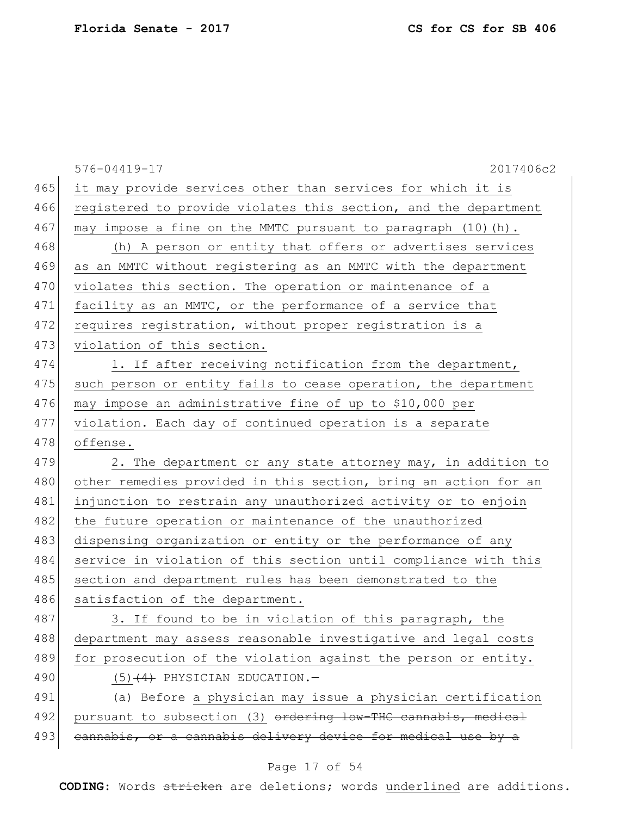|     | 2017406c2<br>576-04419-17                                       |
|-----|-----------------------------------------------------------------|
| 465 | it may provide services other than services for which it is     |
| 466 | registered to provide violates this section, and the department |
| 467 | may impose a fine on the MMTC pursuant to paragraph (10) (h).   |
| 468 | (h) A person or entity that offers or advertises services       |
| 469 | as an MMTC without registering as an MMTC with the department   |
| 470 | violates this section. The operation or maintenance of a        |
| 471 | facility as an MMTC, or the performance of a service that       |
| 472 | requires registration, without proper registration is a         |
| 473 | violation of this section.                                      |
| 474 | 1. If after receiving notification from the department,         |
| 475 | such person or entity fails to cease operation, the department  |
| 476 | may impose an administrative fine of up to \$10,000 per         |
| 477 | violation. Each day of continued operation is a separate        |
| 478 | offense.                                                        |
| 479 | 2. The department or any state attorney may, in addition to     |
| 480 | other remedies provided in this section, bring an action for an |
| 481 | injunction to restrain any unauthorized activity or to enjoin   |
| 482 | the future operation or maintenance of the unauthorized         |
| 483 | dispensing organization or entity or the performance of any     |
| 484 | service in violation of this section until compliance with this |
| 485 | section and department rules has been demonstrated to the       |
| 486 | satisfaction of the department.                                 |
| 487 | 3. If found to be in violation of this paragraph, the           |
| 488 | department may assess reasonable investigative and legal costs  |
| 489 | for prosecution of the violation against the person or entity.  |
| 490 | $(5)$ $(4)$ PHYSICIAN EDUCATION. -                              |
| 491 | (a) Before a physician may issue a physician certification      |
| 492 | pursuant to subsection (3) ordering low-THC cannabis, medical   |
| 493 | cannabis, or a cannabis delivery device for medical use by a    |
|     |                                                                 |

# Page 17 of 54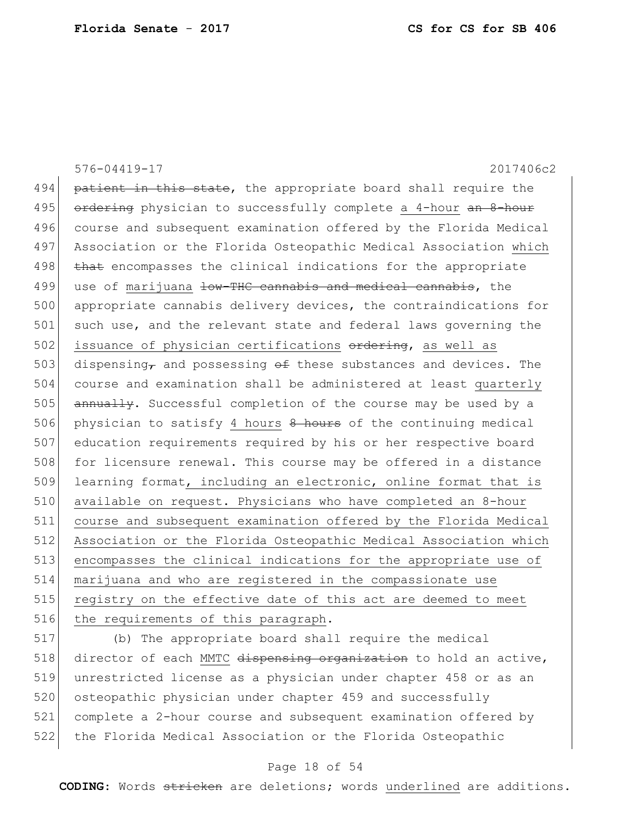|     | 576-04419-17<br>2017406c2                                             |
|-----|-----------------------------------------------------------------------|
| 494 | patient in this state, the appropriate board shall require the        |
| 495 | ordering physician to successfully complete a 4-hour an 8-hour        |
| 496 | course and subsequent examination offered by the Florida Medical      |
| 497 | Association or the Florida Osteopathic Medical Association which      |
| 498 | that encompasses the clinical indications for the appropriate         |
| 499 | use of marijuana low-THC cannabis and medical cannabis, the           |
| 500 | appropriate cannabis delivery devices, the contraindications for      |
| 501 | such use, and the relevant state and federal laws governing the       |
| 502 | issuance of physician certifications ordering, as well as             |
| 503 | dispensing, and possessing $\theta$ these substances and devices. The |
| 504 | course and examination shall be administered at least quarterly       |
| 505 | annually. Successful completion of the course may be used by a        |
| 506 | physician to satisfy 4 hours 8 hours of the continuing medical        |
| 507 | education requirements required by his or her respective board        |
| 508 | for licensure renewal. This course may be offered in a distance       |
| 509 | learning format, including an electronic, online format that is       |
| 510 | available on request. Physicians who have completed an 8-hour         |
| 511 | course and subsequent examination offered by the Florida Medical      |
| 512 | Association or the Florida Osteopathic Medical Association which      |
| 513 | encompasses the clinical indications for the appropriate use of       |
| 514 | marijuana and who are registered in the compassionate use             |
| 515 | registry on the effective date of this act are deemed to meet         |
| 516 | the requirements of this paragraph.                                   |

 (b) The appropriate board shall require the medical 518 director of each MMTC dispensing organization to hold an active, unrestricted license as a physician under chapter 458 or as an 520 osteopathic physician under chapter 459 and successfully complete a 2-hour course and subsequent examination offered by the Florida Medical Association or the Florida Osteopathic

### Page 18 of 54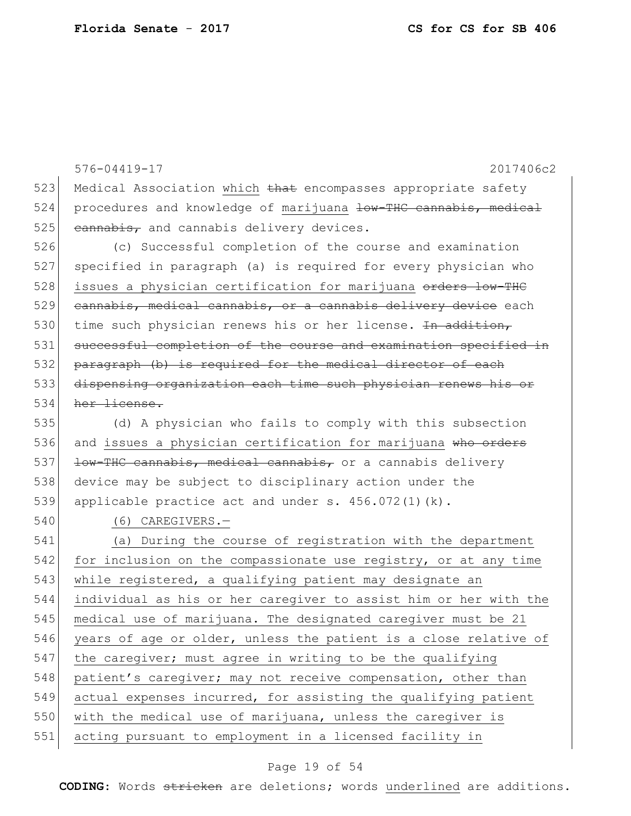576-04419-17 2017406c2 523 Medical Association which that encompasses appropriate safety 524 procedures and knowledge of marijuana low-THC cannabis, medical  $525$  cannabis, and cannabis delivery devices. 526 (c) Successful completion of the course and examination 527 specified in paragraph (a) is required for every physician who 528 issues a physician certification for marijuana orders low-THC 529 cannabis, medical cannabis, or a cannabis delivery device each 530 time such physician renews his or her license. <del>In addition,</del> 531 successful completion of the course and examination specified in 532 paragraph (b) is required for the medical director of each 533 dispensing organization each time such physician renews his or 534 her license. 535 (d) A physician who fails to comply with this subsection 536 and issues a physician certification for marijuana who orders 537 <del>low-THC cannabis, medical cannabis,</del> or a cannabis delivery 538 device may be subject to disciplinary action under the 539 applicable practice act and under  $s. 456.072(1)(k)$ . 540 (6) CAREGIVERS.— 541 (a) During the course of registration with the department 542 for inclusion on the compassionate use registry, or at any time 543 while registered, a qualifying patient may designate an 544 individual as his or her caregiver to assist him or her with the 545 medical use of marijuana. The designated caregiver must be 21 546 years of age or older, unless the patient is a close relative of 547 the caregiver; must agree in writing to be the qualifying 548 patient's caregiver; may not receive compensation, other than 549 actual expenses incurred, for assisting the qualifying patient 550 with the medical use of marijuana, unless the caregiver is 551 acting pursuant to employment in a licensed facility in

### Page 19 of 54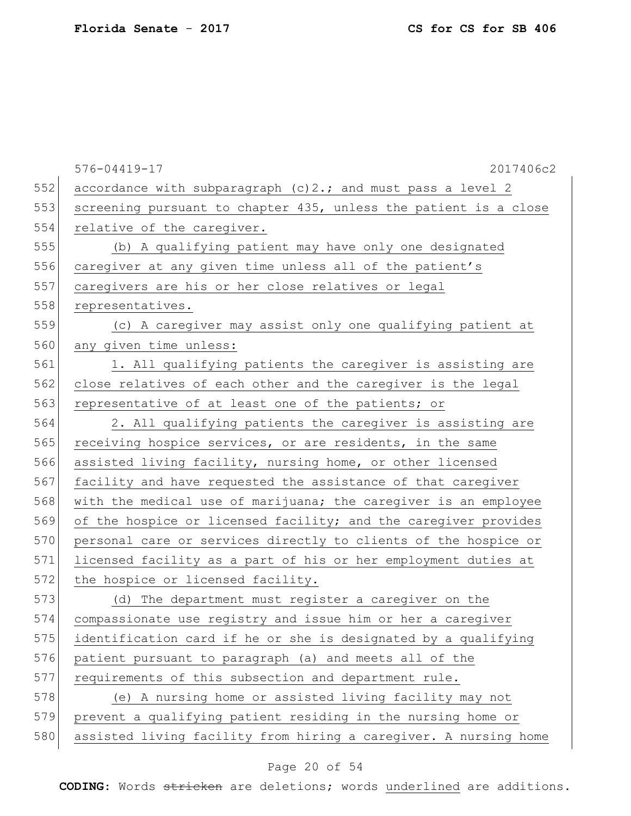|     | 576-04419-17<br>2017406c2                                        |
|-----|------------------------------------------------------------------|
| 552 | accordance with subparagraph (c) 2.; and must pass a level 2     |
| 553 | screening pursuant to chapter 435, unless the patient is a close |
| 554 | relative of the caregiver.                                       |
| 555 | (b) A qualifying patient may have only one designated            |
| 556 | caregiver at any given time unless all of the patient's          |
| 557 | caregivers are his or her close relatives or legal               |
| 558 | representatives.                                                 |
| 559 | (c) A caregiver may assist only one qualifying patient at        |
| 560 | any given time unless:                                           |
| 561 | 1. All qualifying patients the caregiver is assisting are        |
| 562 | close relatives of each other and the caregiver is the legal     |
| 563 | representative of at least one of the patients; or               |
| 564 | 2. All qualifying patients the caregiver is assisting are        |
| 565 | receiving hospice services, or are residents, in the same        |
| 566 | assisted living facility, nursing home, or other licensed        |
| 567 | facility and have requested the assistance of that caregiver     |
| 568 | with the medical use of marijuana; the caregiver is an employee  |
| 569 | of the hospice or licensed facility; and the caregiver provides  |
| 570 | personal care or services directly to clients of the hospice or  |
| 571 | licensed facility as a part of his or her employment duties at   |
| 572 | the hospice or licensed facility.                                |
| 573 | (d) The department must register a caregiver on the              |
| 574 | compassionate use registry and issue him or her a caregiver      |
| 575 | identification card if he or she is designated by a qualifying   |
| 576 | patient pursuant to paragraph (a) and meets all of the           |
| 577 | requirements of this subsection and department rule.             |
| 578 | (e) A nursing home or assisted living facility may not           |
| 579 | prevent a qualifying patient residing in the nursing home or     |
| 580 | assisted living facility from hiring a caregiver. A nursing home |

# Page 20 of 54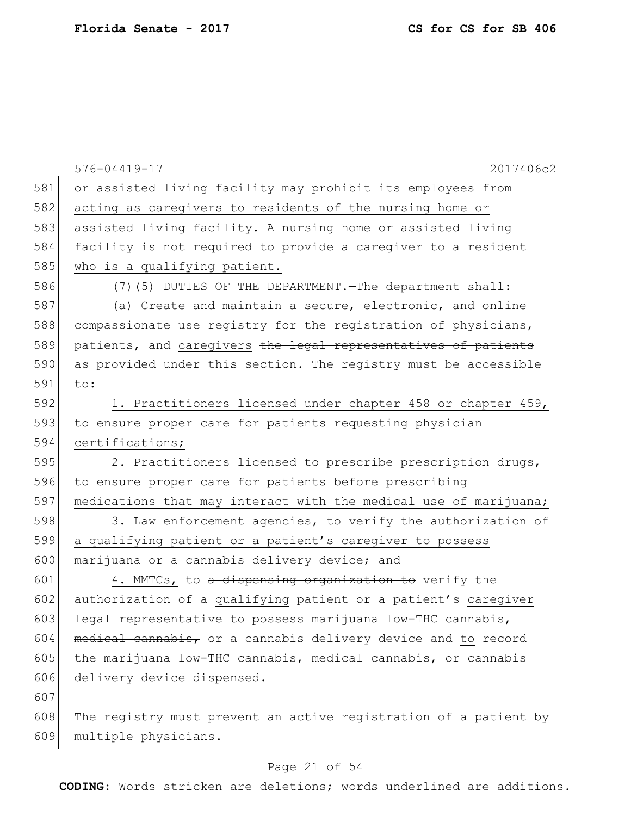|     | 2017406c2<br>576-04419-17                                        |
|-----|------------------------------------------------------------------|
| 581 | or assisted living facility may prohibit its employees from      |
| 582 | acting as caregivers to residents of the nursing home or         |
| 583 | assisted living facility. A nursing home or assisted living      |
| 584 | facility is not required to provide a caregiver to a resident    |
| 585 | who is a qualifying patient.                                     |
| 586 | $(7)$ $(5)$ DUTIES OF THE DEPARTMENT. The department shall:      |
| 587 | (a) Create and maintain a secure, electronic, and online         |
| 588 | compassionate use registry for the registration of physicians,   |
| 589 | patients, and caregivers the legal representatives of patients   |
| 590 | as provided under this section. The registry must be accessible  |
| 591 | to:                                                              |
| 592 | 1. Practitioners licensed under chapter 458 or chapter 459,      |
| 593 | to ensure proper care for patients requesting physician          |
| 594 | certifications;                                                  |
| 595 | 2. Practitioners licensed to prescribe prescription drugs,       |
| 596 | to ensure proper care for patients before prescribing            |
| 597 | medications that may interact with the medical use of marijuana; |
| 598 | 3. Law enforcement agencies, to verify the authorization of      |
| 599 | a qualifying patient or a patient's caregiver to possess         |
| 600 | marijuana or a cannabis delivery device; and                     |
| 601 | 4. MMTCs, to a dispensing organization to verify the             |
| 602 | authorization of a qualifying patient or a patient's caregiver   |
| 603 | legal representative to possess marijuana low-THC cannabis,      |
| 604 | medical cannabis, or a cannabis delivery device and to record    |
| 605 | the marijuana low-THC cannabis, medical cannabis, or cannabis    |
| 606 | delivery device dispensed.                                       |
| 607 |                                                                  |
| 608 | The registry must prevent an active registration of a patient by |
| 609 | multiple physicians.                                             |
|     |                                                                  |

# Page 21 of 54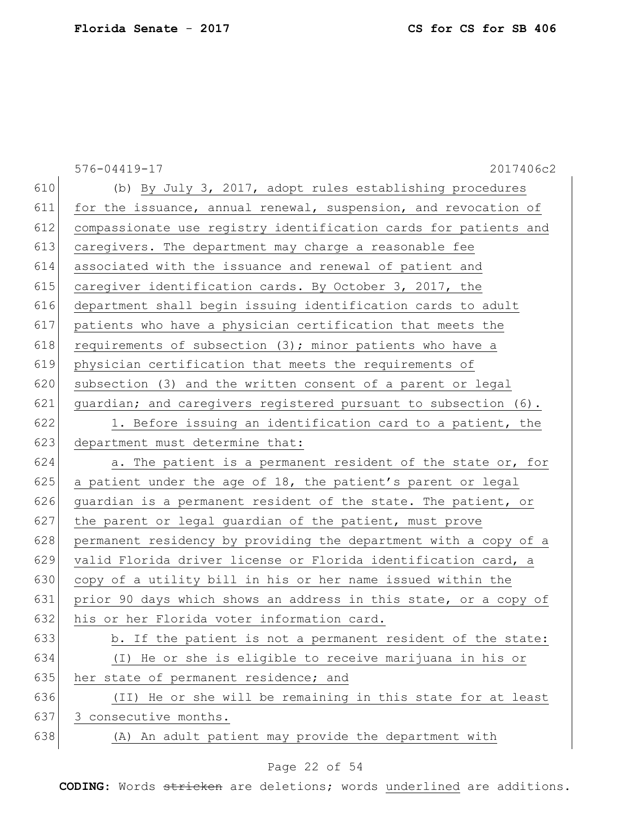|     | 576-04419-17<br>2017406c2                                        |
|-----|------------------------------------------------------------------|
| 610 | (b) By July 3, 2017, adopt rules establishing procedures         |
| 611 | for the issuance, annual renewal, suspension, and revocation of  |
| 612 | compassionate use registry identification cards for patients and |
| 613 | caregivers. The department may charge a reasonable fee           |
| 614 | associated with the issuance and renewal of patient and          |
| 615 | caregiver identification cards. By October 3, 2017, the          |
| 616 | department shall begin issuing identification cards to adult     |
| 617 | patients who have a physician certification that meets the       |
| 618 | requirements of subsection (3); minor patients who have a        |
| 619 | physician certification that meets the requirements of           |
| 620 | subsection (3) and the written consent of a parent or legal      |
| 621 | quardian; and caregivers registered pursuant to subsection (6).  |
| 622 | 1. Before issuing an identification card to a patient, the       |
| 623 | department must determine that:                                  |
| 624 | a. The patient is a permanent resident of the state or, for      |
| 625 | a patient under the age of 18, the patient's parent or legal     |
| 626 | guardian is a permanent resident of the state. The patient, or   |
| 627 | the parent or legal guardian of the patient, must prove          |
| 628 | permanent residency by providing the department with a copy of a |
| 629 | valid Florida driver license or Florida identification card, a   |
| 630 | copy of a utility bill in his or her name issued within the      |
| 631 | prior 90 days which shows an address in this state, or a copy of |
| 632 | his or her Florida voter information card.                       |
| 633 | b. If the patient is not a permanent resident of the state:      |
| 634 | (I) He or she is eligible to receive marijuana in his or         |
| 635 | her state of permanent residence; and                            |
| 636 | (II) He or she will be remaining in this state for at least      |
| 637 | 3 consecutive months.                                            |
| 638 | (A) An adult patient may provide the department with             |

# Page 22 of 54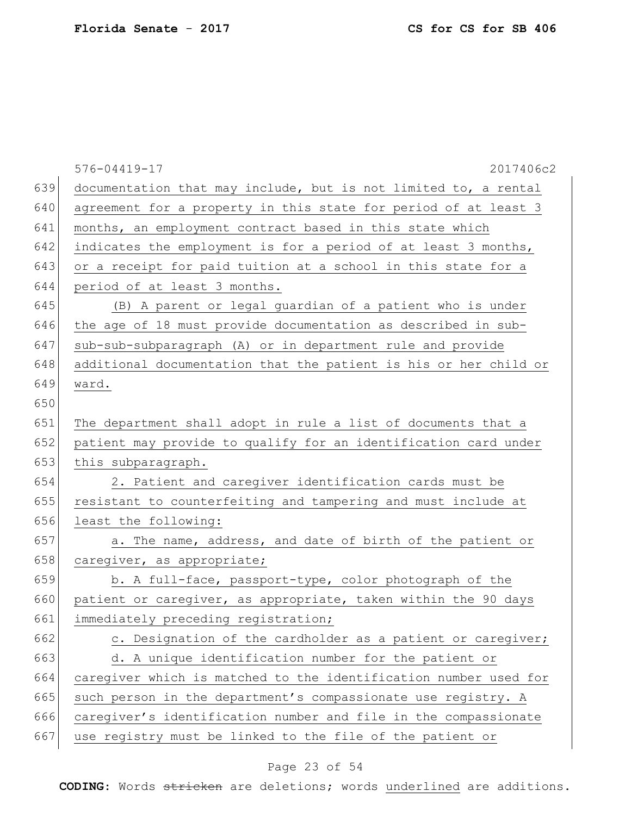|     | 2017406c2<br>576-04419-17                                        |
|-----|------------------------------------------------------------------|
| 639 | documentation that may include, but is not limited to, a rental  |
| 640 | agreement for a property in this state for period of at least 3  |
| 641 | months, an employment contract based in this state which         |
| 642 | indicates the employment is for a period of at least 3 months,   |
| 643 | or a receipt for paid tuition at a school in this state for a    |
| 644 | period of at least 3 months.                                     |
| 645 | (B) A parent or legal guardian of a patient who is under         |
| 646 | the age of 18 must provide documentation as described in sub-    |
| 647 | sub-sub-subparagraph (A) or in department rule and provide       |
| 648 | additional documentation that the patient is his or her child or |
| 649 | ward.                                                            |
| 650 |                                                                  |
| 651 | The department shall adopt in rule a list of documents that a    |
| 652 | patient may provide to qualify for an identification card under  |
| 653 | this subparagraph.                                               |
| 654 | 2. Patient and caregiver identification cards must be            |
| 655 | resistant to counterfeiting and tampering and must include at    |
| 656 | least the following:                                             |
| 657 | a. The name, address, and date of birth of the patient or        |
| 658 | caregiver, as appropriate;                                       |
| 659 | b. A full-face, passport-type, color photograph of the           |
| 660 | patient or caregiver, as appropriate, taken within the 90 days   |
| 661 | immediately preceding registration;                              |
| 662 | c. Designation of the cardholder as a patient or caregiver;      |
| 663 | d. A unique identification number for the patient or             |
| 664 | caregiver which is matched to the identification number used for |
| 665 | such person in the department's compassionate use registry. A    |
| 666 | caregiver's identification number and file in the compassionate  |
| 667 | use registry must be linked to the file of the patient or        |
|     |                                                                  |

# Page 23 of 54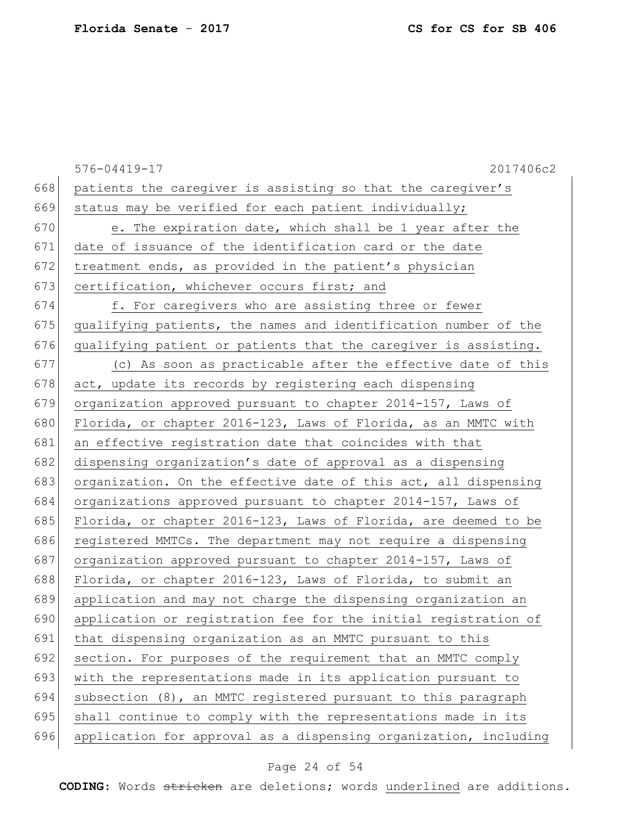|     | 2017406c2<br>576-04419-17                                        |
|-----|------------------------------------------------------------------|
| 668 | patients the caregiver is assisting so that the caregiver's      |
| 669 | status may be verified for each patient individually;            |
| 670 | e. The expiration date, which shall be 1 year after the          |
| 671 | date of issuance of the identification card or the date          |
| 672 | treatment ends, as provided in the patient's physician           |
| 673 | certification, whichever occurs first; and                       |
| 674 | f. For caregivers who are assisting three or fewer               |
| 675 | qualifying patients, the names and identification number of the  |
| 676 | qualifying patient or patients that the caregiver is assisting.  |
| 677 | (c) As soon as practicable after the effective date of this      |
| 678 | act, update its records by registering each dispensing           |
| 679 | organization approved pursuant to chapter 2014-157, Laws of      |
| 680 | Florida, or chapter 2016-123, Laws of Florida, as an MMTC with   |
| 681 | an effective registration date that coincides with that          |
| 682 | dispensing organization's date of approval as a dispensing       |
| 683 | organization. On the effective date of this act, all dispensing  |
| 684 | organizations approved pursuant to chapter 2014-157, Laws of     |
| 685 | Florida, or chapter 2016-123, Laws of Florida, are deemed to be  |
| 686 | registered MMTCs. The department may not require a dispensing    |
| 687 | organization approved pursuant to chapter 2014-157, Laws of      |
| 688 | Florida, or chapter 2016-123, Laws of Florida, to submit an      |
| 689 | application and may not charge the dispensing organization an    |
| 690 | application or registration fee for the initial registration of  |
| 691 | that dispensing organization as an MMTC pursuant to this         |
| 692 | section. For purposes of the requirement that an MMTC comply     |
| 693 | with the representations made in its application pursuant to     |
| 694 | subsection (8), an MMTC registered pursuant to this paragraph    |
| 695 | shall continue to comply with the representations made in its    |
| 696 | application for approval as a dispensing organization, including |

# Page 24 of 54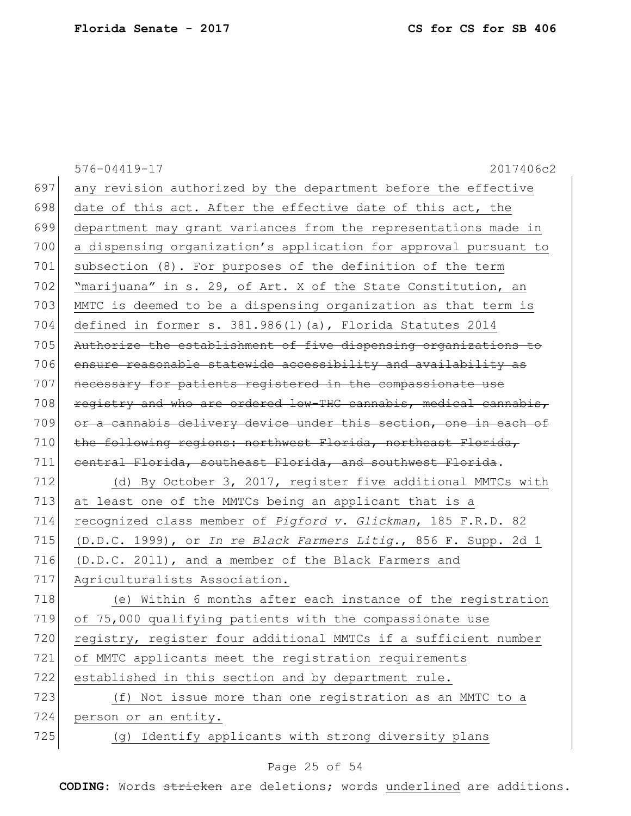|     | 2017406c2<br>576-04419-17                                        |
|-----|------------------------------------------------------------------|
| 697 | any revision authorized by the department before the effective   |
| 698 | date of this act. After the effective date of this act, the      |
| 699 | department may grant variances from the representations made in  |
| 700 | a dispensing organization's application for approval pursuant to |
| 701 | subsection (8). For purposes of the definition of the term       |
| 702 | "marijuana" in s. 29, of Art. X of the State Constitution, an    |
| 703 | MMTC is deemed to be a dispensing organization as that term is   |
| 704 | defined in former s. 381.986(1)(a), Florida Statutes 2014        |
| 705 | Authorize the establishment of five dispensing organizations to  |
| 706 | ensure reasonable statewide accessibility and availability as    |
| 707 | necessary for patients registered in the compassionate use       |
| 708 | registry and who are ordered low-THC cannabis, medical cannabis, |
| 709 | or a cannabis delivery device under this section, one in each of |
| 710 | the following regions: northwest Florida, northeast Florida,     |
| 711 | eentral Florida, southeast Florida, and southwest Florida.       |
| 712 | (d) By October 3, 2017, register five additional MMTCs with      |
| 713 | at least one of the MMTCs being an applicant that is a           |
| 714 | recognized class member of Pigford v. Glickman, 185 F.R.D. 82    |
| 715 | (D.D.C. 1999), or In re Black Farmers Litig., 856 F. Supp. 2d 1  |
| 716 | (D.D.C. 2011), and a member of the Black Farmers and             |
| 717 | Agriculturalists Association.                                    |
| 718 | (e) Within 6 months after each instance of the registration      |
| 719 | of 75,000 qualifying patients with the compassionate use         |
| 720 | registry, register four additional MMTCs if a sufficient number  |
| 721 | of MMTC applicants meet the registration requirements            |
| 722 | established in this section and by department rule.              |
| 723 | (f) Not issue more than one registration as an MMTC to a         |
| 724 | person or an entity.                                             |
| 725 | (g) Identify applicants with strong diversity plans              |

# Page 25 of 54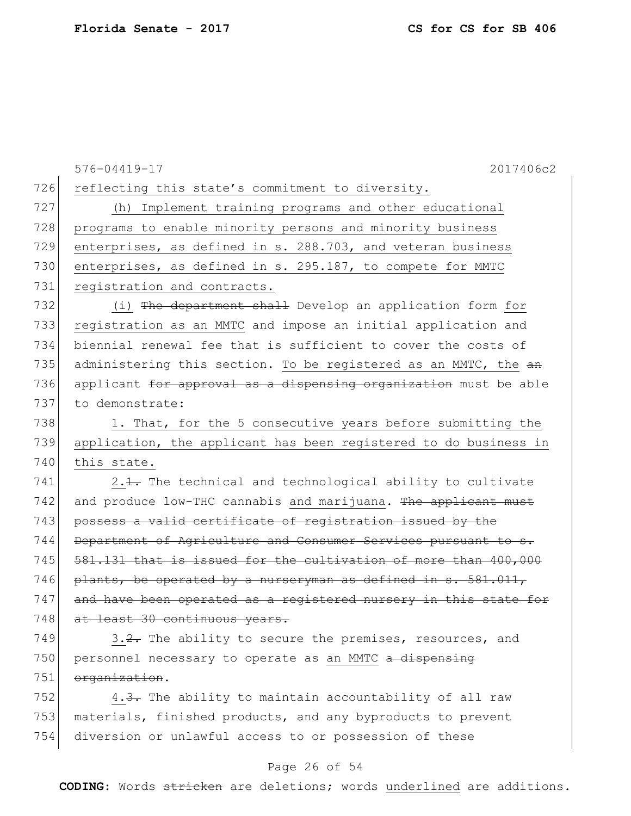576-04419-17 2017406c2 726 reflecting this state's commitment to diversity. 727 (h) Implement training programs and other educational 728 programs to enable minority persons and minority business 729 enterprises, as defined in s. 288.703, and veteran business 730 enterprises, as defined in s. 295.187, to compete for MMTC 731 registration and contracts. 732 (i) The department shall Develop an application form for 733 registration as an MMTC and impose an initial application and 734 biennial renewal fee that is sufficient to cover the costs of 735 administering this section. To be registered as an MMTC, the  $a$ n 736 applicant for approval as a dispensing organization must be able 737 to demonstrate: 738 1. That, for the 5 consecutive years before submitting the 739 application, the applicant has been registered to do business in 740 this state.  $741$  2.1. The technical and technological ability to cultivate 742 and produce low-THC cannabis and marijuana. The applicant must 743 possess a valid certificate of registration issued by the 744 Department of Agriculture and Consumer Services pursuant to s. 745  $\left| 581.131 \right|$  that is issued for the cultivation of more than 400,000 746 plants, be operated by a nurseryman as defined in  $s. 581.011$ , 747 and have been operated as a registered nursery in this state for 748 at least 30 continuous years.  $749$  3.2. The ability to secure the premises, resources, and 750 personnel necessary to operate as an MMTC a dispensing 751 organization. 752  $\vert$  4.<del>3.</del> The ability to maintain accountability of all raw 753 materials, finished products, and any byproducts to prevent

### Page 26 of 54

754 diversion or unlawful access to or possession of these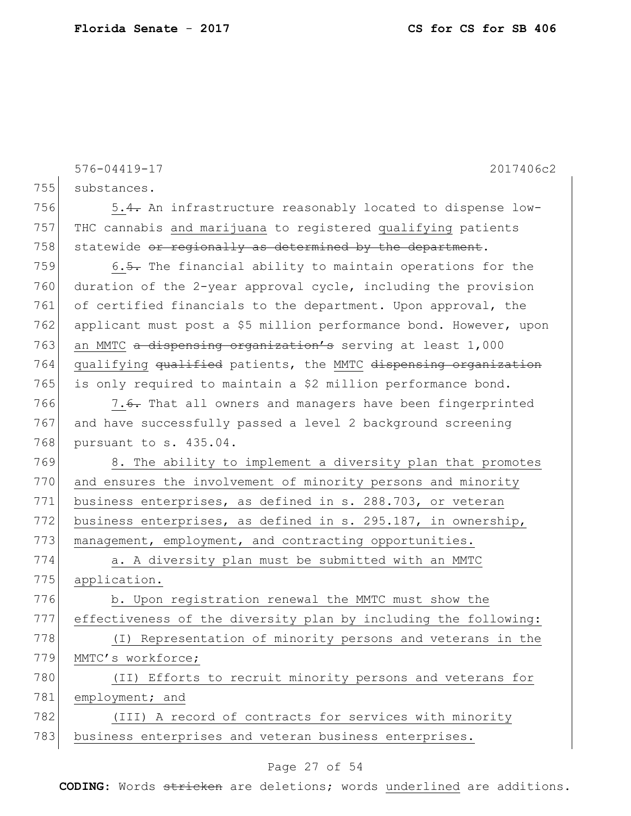|     | 2017406c2<br>576-04419-17                                         |
|-----|-------------------------------------------------------------------|
| 755 | substances.                                                       |
| 756 | 5.4. An infrastructure reasonably located to dispense low-        |
| 757 | THC cannabis and marijuana to registered qualifying patients      |
| 758 | statewide or regionally as determined by the department.          |
| 759 | 6.5. The financial ability to maintain operations for the         |
| 760 | duration of the 2-year approval cycle, including the provision    |
| 761 | of certified financials to the department. Upon approval, the     |
| 762 | applicant must post a \$5 million performance bond. However, upon |
| 763 | an MMTC a dispensing organization's serving at least 1,000        |
| 764 | qualifying qualified patients, the MMTC dispensing organization   |
| 765 | is only required to maintain a \$2 million performance bond.      |
| 766 | 7.6. That all owners and managers have been fingerprinted         |
| 767 | and have successfully passed a level 2 background screening       |
| 768 | pursuant to s. 435.04.                                            |
| 769 | 8. The ability to implement a diversity plan that promotes        |
| 770 | and ensures the involvement of minority persons and minority      |
| 771 | business enterprises, as defined in s. 288.703, or veteran        |
| 772 | business enterprises, as defined in s. 295.187, in ownership,     |
| 773 | management, employment, and contracting opportunities.            |
| 774 | a. A diversity plan must be submitted with an MMTC                |
| 775 | application.                                                      |
| 776 | b. Upon registration renewal the MMTC must show the               |
| 777 | effectiveness of the diversity plan by including the following:   |
| 778 | (I) Representation of minority persons and veterans in the        |
| 779 | MMTC's workforce;                                                 |
| 780 | (II) Efforts to recruit minority persons and veterans for         |
| 781 | employment; and                                                   |
| 782 | (III) A record of contracts for services with minority            |
| 783 | business enterprises and veteran business enterprises.            |

# Page 27 of 54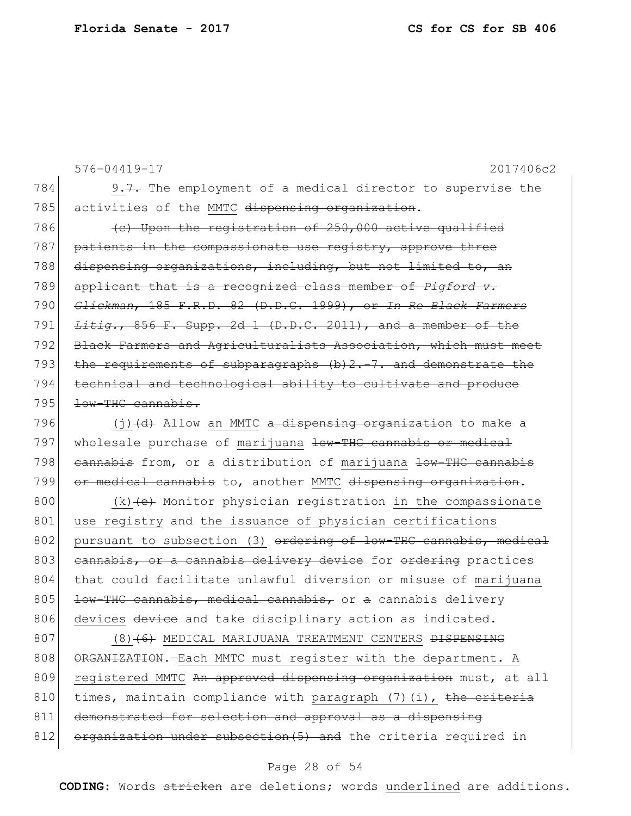576-04419-17 2017406c2 784 9.7. The employment of a medical director to supervise the 785 activities of the MMTC dispensing organization.  $786$  (c) Upon the registration of  $250,000$  active qualified 787 patients in the compassionate use registry, approve three 788 dispensing organizations, including, but not limited to, an 789 applicant that is a recognized class member of *Pigford v.*  790 *Glickman*, 185 F.R.D. 82 (D.D.C. 1999), or *In Re Black Farmers*  791 *Litig.*, 856 F. Supp. 2d 1 (D.D.C. 2011), and a member of the 792 Black Farmers and Agriculturalists Association, which must meet 793 the requirements of subparagraphs (b) 2.-7. and demonstrate the 794 technical and technological ability to cultivate and produce  $795$   $\overline{+6w-THC}$  cannabis.

796  $(j)$   $(d)$  Allow an MMTC a dispensing organization to make a 797 wholesale purchase of marijuana low-THC cannabis or medical 798 cannabis from, or a distribution of marijuana low-THC cannabis 799 or medical cannabis to, another MMTC dispensing organization.

800 (k)  $(e)$  Monitor physician registration in the compassionate 801 use registry and the issuance of physician certifications 802 pursuant to subsection (3) ordering of low-THC cannabis, medical 803 cannabis, or a cannabis delivery device for ordering practices 804 that could facilitate unlawful diversion or misuse of marijuana 805 <del>low-THC cannabis, medical cannabis,</del> or a cannabis delivery 806 devices device and take disciplinary action as indicated.

807 (8)<del>(6)</del> MEDICAL MARIJUANA TREATMENT CENTERS <del>DISPENSING</del> 808 ORGANIZATION. - Each MMTC must register with the department. A 809 registered MMTC An approved dispensing organization must, at all 810 times, maintain compliance with paragraph  $(7)$  (i), the criteria 811 demonstrated for selection and approval as a dispensing 812 organization under subsection (5) and the criteria required in

### Page 28 of 54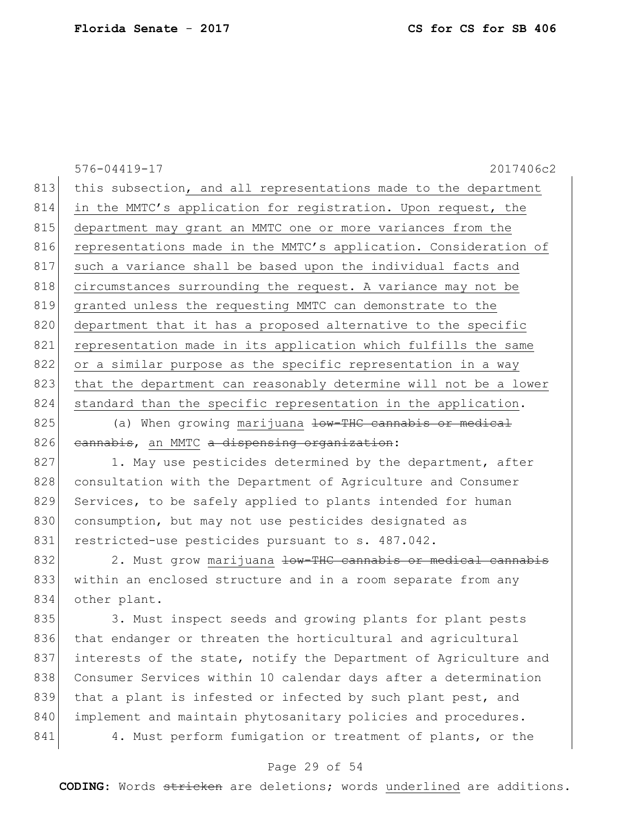576-04419-17 2017406c2 813 this subsection, and all representations made to the department 814 in the MMTC's application for registration. Upon request, the 815 department may grant an MMTC one or more variances from the 816 representations made in the MMTC's application. Consideration of 817 such a variance shall be based upon the individual facts and 818 circumstances surrounding the request. A variance may not be 819 granted unless the requesting MMTC can demonstrate to the 820 department that it has a proposed alternative to the specific 821 representation made in its application which fulfills the same 822 or a similar purpose as the specific representation in a way 823 that the department can reasonably determine will not be a lower 824 standard than the specific representation in the application. 825 (a) When growing marijuana <del>low-THC cannabis or medical</del> 826 cannabis, an MMTC a dispensing organization: 827 1. May use pesticides determined by the department, after 828 consultation with the Department of Agriculture and Consumer 829 Services, to be safely applied to plants intended for human 830 consumption, but may not use pesticides designated as

831 restricted-use pesticides pursuant to s. 487.042.

832 2. Must grow marijuana <del>low-THC cannabis or medical cannabis</del> 833 within an enclosed structure and in a room separate from any 834 other plant.

835 3. Must inspect seeds and growing plants for plant pests 836 that endanger or threaten the horticultural and agricultural 837 interests of the state, notify the Department of Agriculture and 838 Consumer Services within 10 calendar days after a determination 839 that a plant is infested or infected by such plant pest, and 840 implement and maintain phytosanitary policies and procedures. 841 4. Must perform fumigation or treatment of plants, or the

### Page 29 of 54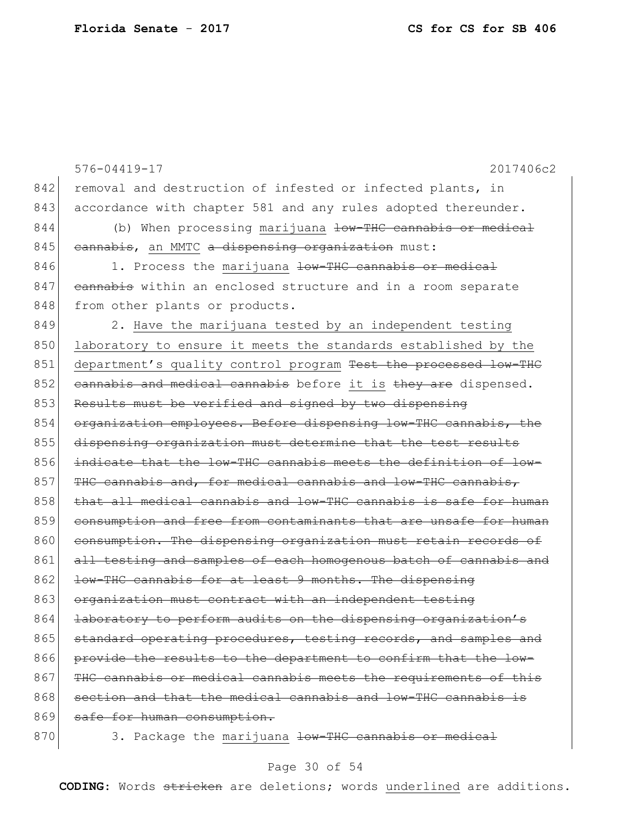```
576-04419-17 2017406c2
842 removal and destruction of infested or infected plants, in
843 accordance with chapter 581 and any rules adopted thereunder.
844 (b) When processing marijuana low-THC cannabis or medical
845 cannabis, an MMTC a dispensing organization must:
846 1. Process the marijuana low-THC cannabis or medical
847 cannabis within an enclosed structure and in a room separate
848 from other plants or products.
849 2. Have the marijuana tested by an independent testing
850 laboratory to ensure it meets the standards established by the
851 department's quality control program Test the processed low-THC
852 cannabis and medical cannabis before it is they are dispensed.
853 Results must be verified and signed by two dispensing
854 organization employees. Before dispensing low-THC cannabis, the
855 dispensing organization must determine that the test results
856 indicate that the low-THC cannabis meets the definition of low-
857 THC cannabis and, for medical cannabis and low-THC cannabis,
858 that all medical cannabis and low-THC cannabis is safe for human
859 consumption and free from contaminants that are unsafe for human
860 consumption. The dispensing organization must retain records of
861 all testing and samples of each homogenous batch of cannabis and
862 <del>low-THC cannabis for at least 9 months. The dispensing</del>
863 organization must contract with an independent testing
864 <del>laboratory to perform audits on the dispensing organization's</del>
865 standard operating procedures, testing records, and samples and
866 provide the results to the department to confirm that the low-
867 THC cannabis or medical cannabis meets the requirements of this
868 section and that the medical cannabis and low-THC cannabis
869 safe for human consumption.
870 3. Package the marijuana low-THC cannabis or medical
```
#### Page 30 of 54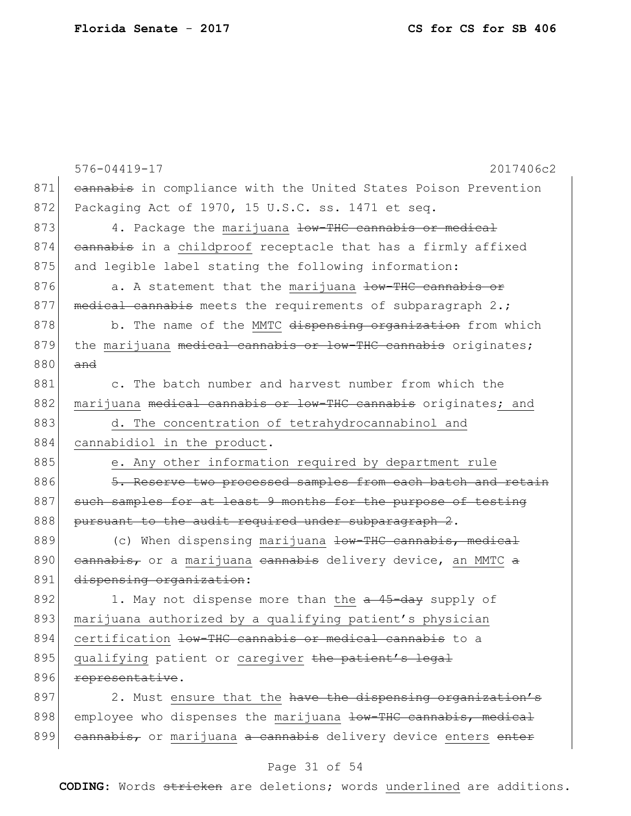|     | 576-04419-17<br>2017406c2                                       |
|-----|-----------------------------------------------------------------|
| 871 | eannabis in compliance with the United States Poison Prevention |
| 872 | Packaging Act of 1970, 15 U.S.C. ss. 1471 et seq.               |
| 873 | 4. Package the marijuana low-THC cannabis or medical            |
| 874 | cannabis in a childproof receptacle that has a firmly affixed   |
| 875 | and legible label stating the following information:            |
| 876 | a. A statement that the marijuana low-THC cannabis or           |
| 877 | medical cannabis meets the requirements of subparagraph 2.;     |
| 878 | b. The name of the MMTC dispensing organization from which      |
| 879 | the marijuana medical cannabis or low-THC cannabis originates;  |
| 880 | and                                                             |
| 881 | c. The batch number and harvest number from which the           |
| 882 | marijuana medical cannabis or low-THC cannabis originates; and  |
| 883 | d. The concentration of tetrahydrocannabinol and                |
| 884 | cannabidiol in the product.                                     |
| 885 | e. Any other information required by department rule            |
| 886 | 5. Reserve two processed samples from each batch and retain     |
| 887 | such samples for at least 9 months for the purpose of testing   |
| 888 | pursuant to the audit required under subparagraph 2.            |
| 889 | (c) When dispensing marijuana low-THC cannabis, medical         |
| 890 | eannabis, or a marijuana eannabis delivery device, an MMTC a    |
| 891 | dispensing organization:                                        |
| 892 | 1. May not dispense more than the a 45-day supply of            |
| 893 | marijuana authorized by a qualifying patient's physician        |
| 894 | certification low-THC cannabis or medical cannabis to a         |
| 895 | qualifying patient or caregiver the patient's legal             |
| 896 | representative.                                                 |
| 897 | 2. Must ensure that the have the dispensing organization's      |
| 898 | employee who dispenses the marijuana low-THC cannabis, medical  |
| 899 | cannabis, or marijuana a cannabis delivery device enters enter  |

# Page 31 of 54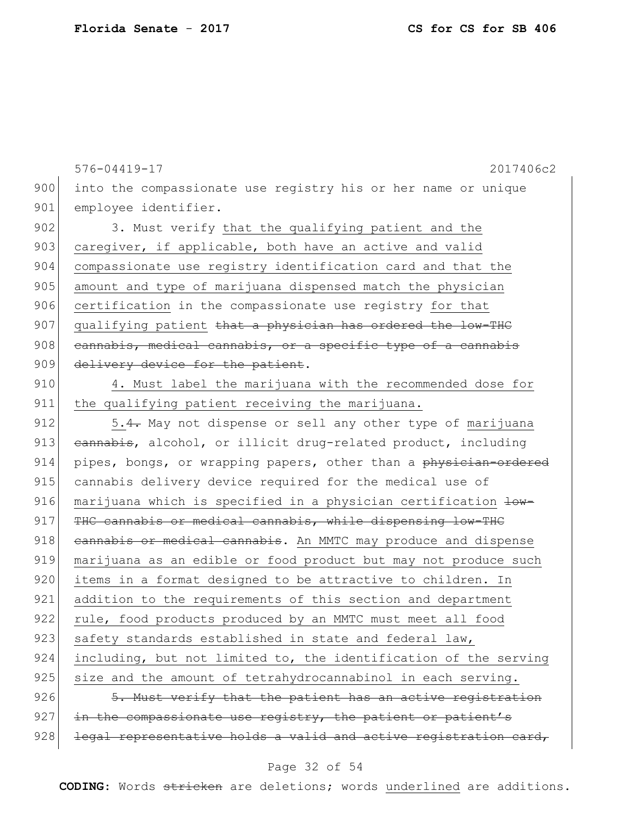576-04419-17 2017406c2 900 into the compassionate use registry his or her name or unique 901 employee identifier. 902 3. Must verify that the qualifying patient and the 903 caregiver, if applicable, both have an active and valid 904 compassionate use registry identification card and that the 905 amount and type of marijuana dispensed match the physician 906 certification in the compassionate use registry for that 907 qualifying patient that a physician has ordered the low-THC 908 cannabis, medical cannabis, or a specific type of a cannabis 909 delivery device for the patient.

910 4. Must label the marijuana with the recommended dose for 911 the qualifying patient receiving the marijuana.

912 5.4. May not dispense or sell any other type of marijuana 913 cannabis, alcohol, or illicit drug-related product, including 914 pipes, bongs, or wrapping papers, other than a physician-ordered 915 cannabis delivery device required for the medical use of 916 marijuana which is specified in a physician certification  $\frac{1}{w}$ 917 THC cannabis or medical cannabis, while dispensing low-THC 918 cannabis or medical cannabis. An MMTC may produce and dispense 919 marijuana as an edible or food product but may not produce such 920 items in a format designed to be attractive to children. In 921 addition to the requirements of this section and department 922 rule, food products produced by an MMTC must meet all food 923 safety standards established in state and federal law, 924 including, but not limited to, the identification of the serving 925 size and the amount of tetrahydrocannabinol in each serving.  $926$   $\frac{5. \text{ Must verify that the patient has an active registration}}{5.}$ 927 in the compassionate use registry, the patient or patient's  $928$  legal representative holds a valid and active registration card,

#### Page 32 of 54

**CODING**: Words stricken are deletions; words underlined are additions.

**Florida Senate** - **2017 CS for CS for SB 406**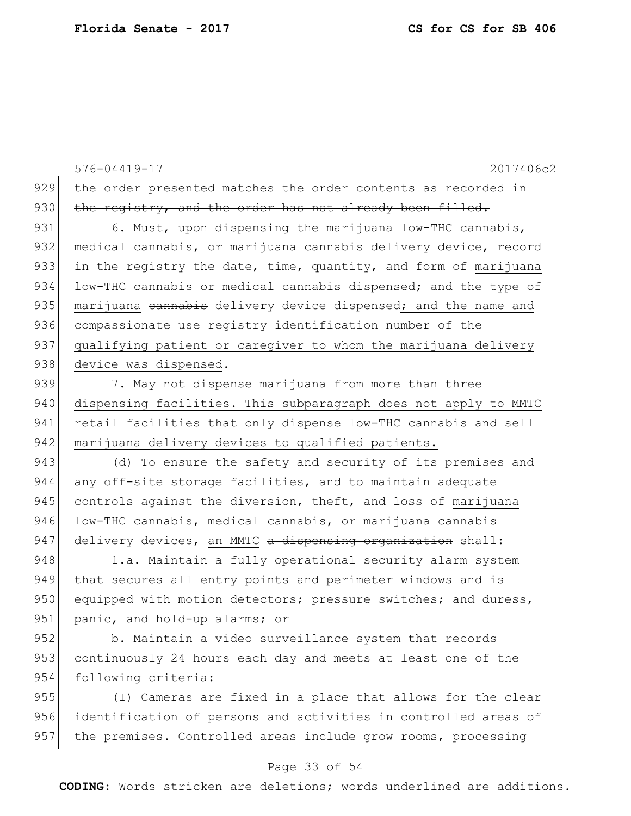576-04419-17 2017406c2 929 the order presented matches the order contents as recorded in 930 the registry, and the order has not already been filled. 931 6. Must, upon dispensing the marijuana  $\frac{1}{2}$  and  $\frac{1}{2}$  cannabis, 932 medical cannabis, or marijuana cannabis delivery device, record 933 in the registry the date, time, quantity, and form of marijuana 934 <del>low-THC cannabis or medical cannabis</del> dispensed; and the type of 935 marijuana cannabis delivery device dispensed; and the name and 936 compassionate use registry identification number of the 937 qualifying patient or caregiver to whom the marijuana delivery 938 device was dispensed. 939 7. May not dispense marijuana from more than three 940 dispensing facilities. This subparagraph does not apply to MMTC 941 retail facilities that only dispense low-THC cannabis and sell 942 marijuana delivery devices to qualified patients. 943 (d) To ensure the safety and security of its premises and 944 any off-site storage facilities, and to maintain adequate 945 controls against the diversion, theft, and loss of marijuana 946  $\vert$  low-THC cannabis, medical cannabis, or marijuana cannabis 947 delivery devices, an MMTC a dispensing organization shall: 948 1.a. Maintain a fully operational security alarm system 949 that secures all entry points and perimeter windows and is 950 equipped with motion detectors; pressure switches; and duress, 951 panic, and hold-up alarms; or

952 b. Maintain a video surveillance system that records 953 continuously 24 hours each day and meets at least one of the 954 following criteria:

955 (I) Cameras are fixed in a place that allows for the clear 956 identification of persons and activities in controlled areas of 957 the premises. Controlled areas include grow rooms, processing

### Page 33 of 54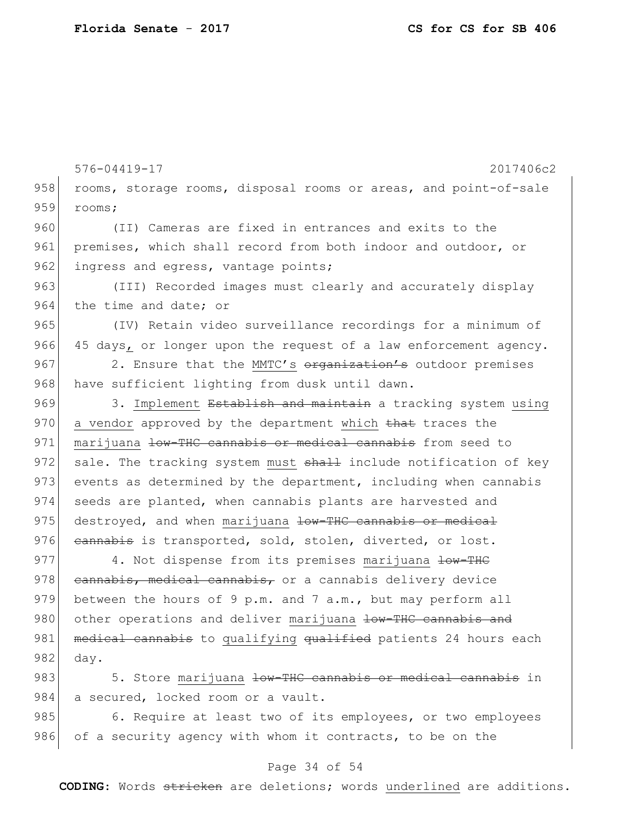576-04419-17 2017406c2 958 rooms, storage rooms, disposal rooms or areas, and point-of-sale 959 rooms; 960 (II) Cameras are fixed in entrances and exits to the 961 premises, which shall record from both indoor and outdoor, or 962 ingress and egress, vantage points; 963 (III) Recorded images must clearly and accurately display 964 the time and date; or 965 (IV) Retain video surveillance recordings for a minimum of 966 45 days, or longer upon the request of a law enforcement agency. 967 2. Ensure that the MMTC's organization's outdoor premises 968 have sufficient lighting from dusk until dawn. 969 3. Implement Establish and maintain a tracking system using 970 a vendor approved by the department which that traces the 971 | marijuana low-THC cannabis or medical cannabis from seed to 972 sale. The tracking system must  $\frac{1}{2}$  include notification of key 973 events as determined by the department, including when cannabis 974 seeds are planted, when cannabis plants are harvested and 975 destroyed, and when marijuana low-THC cannabis or medical 976 cannabis is transported, sold, stolen, diverted, or lost. 977 4. Not dispense from its premises marijuana low-THC 978 cannabis, medical cannabis, or a cannabis delivery device 979 between the hours of 9 p.m. and 7 a.m., but may perform all 980 other operations and deliver marijuana low-THC cannabis and 981 medical cannabis to qualifying qualified patients 24 hours each 982 day. 983 5. Store marijuana <del>low-THC cannabis or medical cannabis</del> in 984 a secured, locked room or a vault.

985 6. Require at least two of its employees, or two employees 986 of a security agency with whom it contracts, to be on the

### Page 34 of 54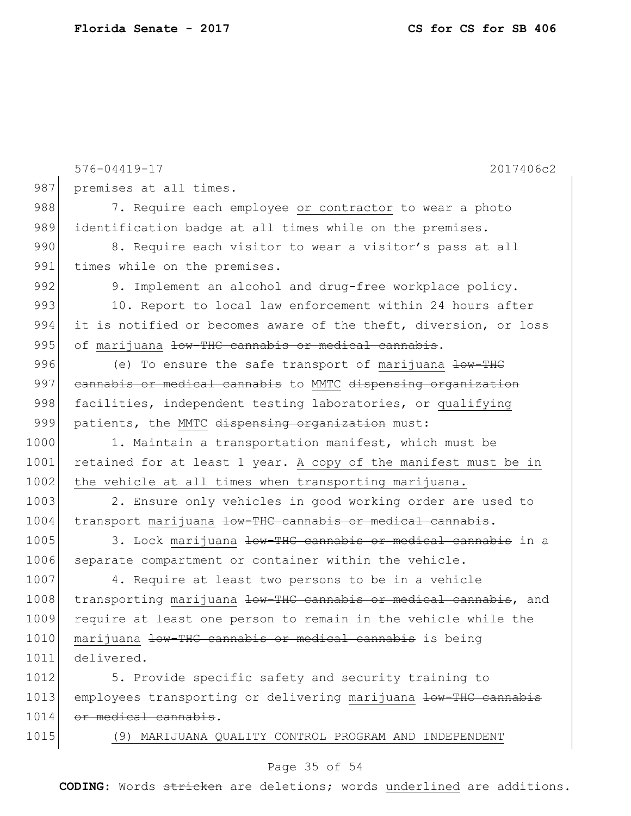|      | 576-04419-17<br>2017406c2                                        |
|------|------------------------------------------------------------------|
| 987  | premises at all times.                                           |
| 988  | 7. Require each employee or contractor to wear a photo           |
| 989  | identification badge at all times while on the premises.         |
| 990  | 8. Require each visitor to wear a visitor's pass at all          |
| 991  |                                                                  |
| 992  | times while on the premises.                                     |
| 993  | 9. Implement an alcohol and drug-free workplace policy.          |
|      | 10. Report to local law enforcement within 24 hours after        |
| 994  | it is notified or becomes aware of the theft, diversion, or loss |
| 995  | of marijuana low-THC cannabis or medical cannabis.               |
| 996  | (e) To ensure the safe transport of marijuana low-THC            |
| 997  | cannabis or medical cannabis to MMTC dispensing organization     |
| 998  | facilities, independent testing laboratories, or qualifying      |
| 999  | patients, the MMTC dispensing organization must:                 |
| 1000 | 1. Maintain a transportation manifest, which must be             |
| 1001 | retained for at least 1 year. A copy of the manifest must be in  |
| 1002 | the vehicle at all times when transporting marijuana.            |
| 1003 | 2. Ensure only vehicles in good working order are used to        |
| 1004 | transport marijuana low-THC cannabis or medical cannabis.        |
| 1005 | 3. Lock marijuana low-THC cannabis or medical cannabis in a      |
| 1006 | separate compartment or container within the vehicle.            |
| 1007 | 4. Require at least two persons to be in a vehicle               |
| 1008 | transporting marijuana low-THC cannabis or medical cannabis, and |
| 1009 | require at least one person to remain in the vehicle while the   |
| 1010 | marijuana low-THC cannabis or medical cannabis is being          |
| 1011 | delivered.                                                       |
| 1012 | 5. Provide specific safety and security training to              |
| 1013 | employees transporting or delivering marijuana low-THC cannabis  |
| 1014 | or medical cannabis.                                             |
| 1015 | (9) MARIJUANA QUALITY CONTROL PROGRAM AND INDEPENDENT            |
|      |                                                                  |

# Page 35 of 54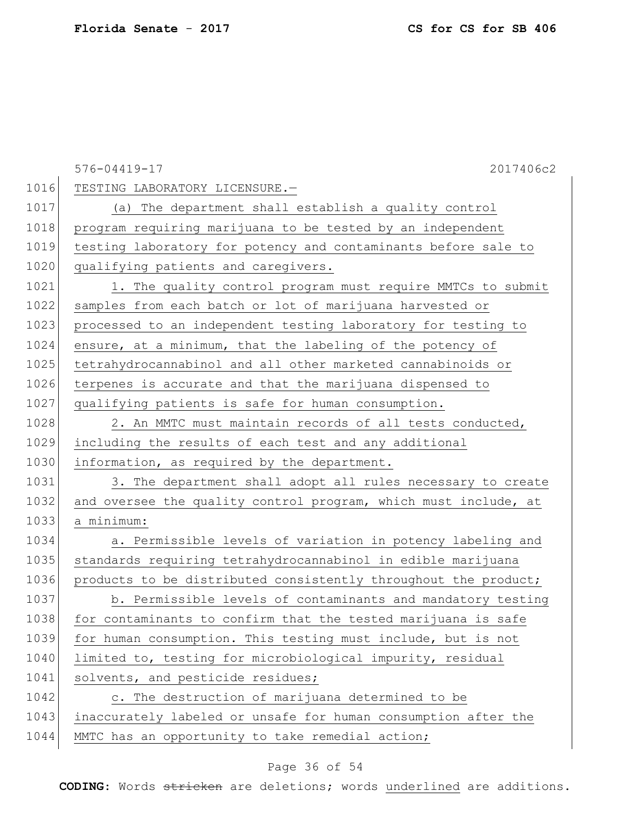|      | 2017406c2<br>$576 - 04419 - 17$                                 |
|------|-----------------------------------------------------------------|
| 1016 | TESTING LABORATORY LICENSURE.-                                  |
| 1017 | (a) The department shall establish a quality control            |
| 1018 | program requiring marijuana to be tested by an independent      |
| 1019 | testing laboratory for potency and contaminants before sale to  |
| 1020 | qualifying patients and caregivers.                             |
| 1021 | 1. The quality control program must require MMTCs to submit     |
| 1022 | samples from each batch or lot of marijuana harvested or        |
| 1023 | processed to an independent testing laboratory for testing to   |
| 1024 | ensure, at a minimum, that the labeling of the potency of       |
| 1025 | tetrahydrocannabinol and all other marketed cannabinoids or     |
| 1026 | terpenes is accurate and that the marijuana dispensed to        |
| 1027 | qualifying patients is safe for human consumption.              |
| 1028 | 2. An MMTC must maintain records of all tests conducted,        |
| 1029 | including the results of each test and any additional           |
| 1030 | information, as required by the department.                     |
| 1031 | 3. The department shall adopt all rules necessary to create     |
| 1032 | and oversee the quality control program, which must include, at |
| 1033 | a minimum:                                                      |
| 1034 | a. Permissible levels of variation in potency labeling and      |
| 1035 | standards requiring tetrahydrocannabinol in edible marijuana    |
| 1036 | products to be distributed consistently throughout the product; |
| 1037 | b. Permissible levels of contaminants and mandatory testing     |
| 1038 | for contaminants to confirm that the tested marijuana is safe   |
| 1039 | for human consumption. This testing must include, but is not    |
| 1040 | limited to, testing for microbiological impurity, residual      |
| 1041 | solvents, and pesticide residues;                               |
| 1042 | c. The destruction of marijuana determined to be                |
| 1043 | inaccurately labeled or unsafe for human consumption after the  |
| 1044 | MMTC has an opportunity to take remedial action;                |

# Page 36 of 54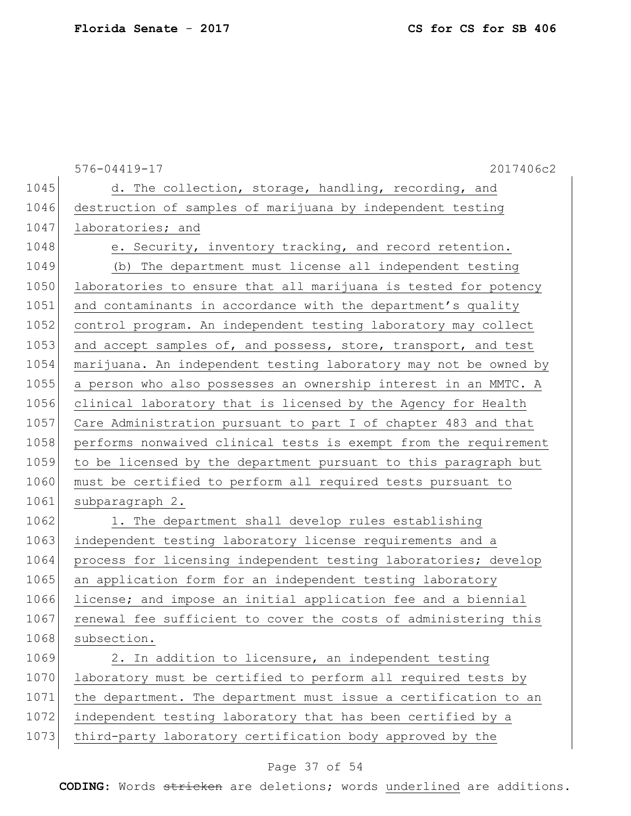576-04419-17 2017406c2 1045 d. The collection, storage, handling, recording, and 1046 destruction of samples of marijuana by independent testing 1047 laboratories; and 1048 e. Security, inventory tracking, and record retention. 1049 (b) The department must license all independent testing 1050 laboratories to ensure that all marijuana is tested for potency 1051 and contaminants in accordance with the department's quality 1052 control program. An independent testing laboratory may collect 1053 and accept samples of, and possess, store, transport, and test 1054 marijuana. An independent testing laboratory may not be owned by 1055 a person who also possesses an ownership interest in an MMTC. A 1056 clinical laboratory that is licensed by the Agency for Health 1057 Care Administration pursuant to part I of chapter 483 and that 1058 performs nonwaived clinical tests is exempt from the requirement 1059 to be licensed by the department pursuant to this paragraph but 1060 must be certified to perform all required tests pursuant to 1061 subparagraph 2. 1062 1. The department shall develop rules establishing 1063 independent testing laboratory license requirements and a 1064 process for licensing independent testing laboratories; develop 1065 an application form for an independent testing laboratory 1066 license; and impose an initial application fee and a biennial 1067 renewal fee sufficient to cover the costs of administering this 1068 subsection. 1069 2. In addition to licensure, an independent testing 1070 laboratory must be certified to perform all required tests by 1071 the department. The department must issue a certification to an 1072 independent testing laboratory that has been certified by a 1073 third-party laboratory certification body approved by the

### Page 37 of 54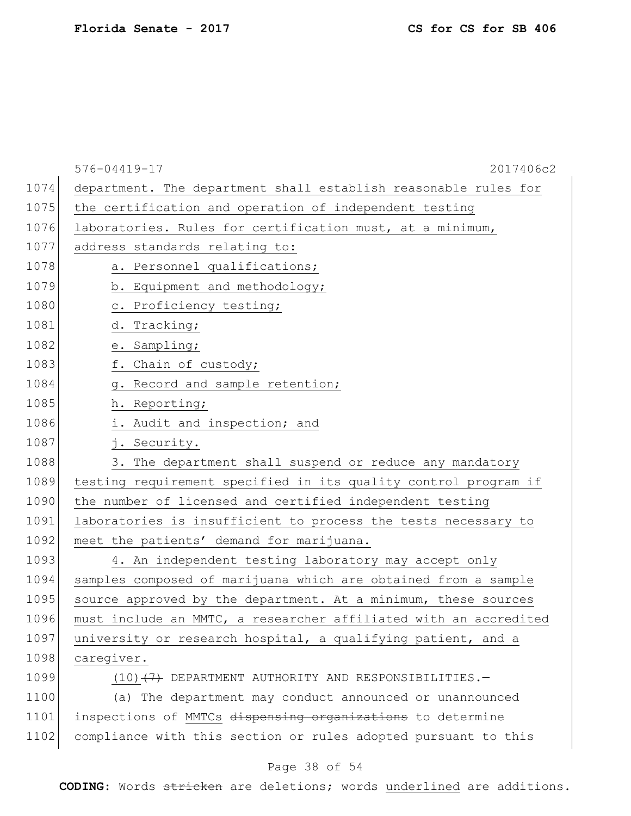|      | 576-04419-17<br>2017406c2                                        |
|------|------------------------------------------------------------------|
| 1074 | department. The department shall establish reasonable rules for  |
| 1075 | the certification and operation of independent testing           |
| 1076 | laboratories. Rules for certification must, at a minimum,        |
| 1077 | address standards relating to:                                   |
| 1078 | a. Personnel qualifications;                                     |
| 1079 | b. Equipment and methodology;                                    |
| 1080 | c. Proficiency testing;                                          |
| 1081 | d. Tracking;                                                     |
| 1082 | e. Sampling;                                                     |
| 1083 | f. Chain of custody;                                             |
| 1084 | g. Record and sample retention;                                  |
| 1085 | h. Reporting;                                                    |
| 1086 | i. Audit and inspection; and                                     |
| 1087 | j. Security.                                                     |
| 1088 | 3. The department shall suspend or reduce any mandatory          |
| 1089 | testing requirement specified in its quality control program if  |
| 1090 | the number of licensed and certified independent testing         |
| 1091 | laboratories is insufficient to process the tests necessary to   |
| 1092 | meet the patients' demand for marijuana.                         |
| 1093 | 4. An independent testing laboratory may accept only             |
| 1094 | samples composed of marijuana which are obtained from a sample   |
| 1095 | source approved by the department. At a minimum, these sources   |
| 1096 | must include an MMTC, a researcher affiliated with an accredited |
| 1097 | university or research hospital, a qualifying patient, and a     |
| 1098 | caregiver.                                                       |
| 1099 | $(10)$ $(7)$ DEPARTMENT AUTHORITY AND RESPONSIBILITIES.          |
| 1100 | (a) The department may conduct announced or unannounced          |
| 1101 | inspections of MMTCs dispensing organizations to determine       |
| 1102 | compliance with this section or rules adopted pursuant to this   |
|      |                                                                  |

# Page 38 of 54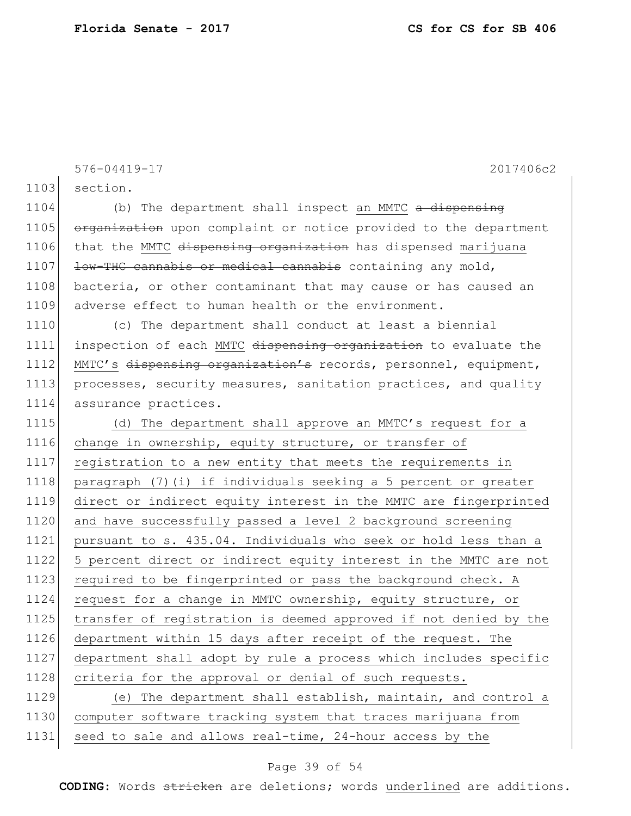576-04419-17 2017406c2 1103 section.  $1104$  (b) The department shall inspect an MMTC  $\alpha$  dispensing 1105 organization upon complaint or notice provided to the department 1106 that the MMTC <del>dispensing organization</del> has dispensed marijuana 1107 **low-THC cannabis or medical cannabis** containing any mold, 1108 bacteria, or other contaminant that may cause or has caused an 1109 adverse effect to human health or the environment. 1110 (c) The department shall conduct at least a biennial 1111 inspection of each MMTC dispensing organization to evaluate the 1112 MMTC's dispensing organization's records, personnel, equipment, 1113 processes, security measures, sanitation practices, and quality 1114 assurance practices. 1115 (d) The department shall approve an MMTC's request for a 1116 change in ownership, equity structure, or transfer of 1117 registration to a new entity that meets the requirements in 1118 paragraph (7)(i) if individuals seeking a 5 percent or greater 1119 direct or indirect equity interest in the MMTC are fingerprinted 1120 and have successfully passed a level 2 background screening 1121 pursuant to s. 435.04. Individuals who seek or hold less than a 1122 5 percent direct or indirect equity interest in the MMTC are not 1123 required to be fingerprinted or pass the background check. A 1124 request for a change in MMTC ownership, equity structure, or 1125 transfer of registration is deemed approved if not denied by the 1126 department within 15 days after receipt of the request. The 1127 department shall adopt by rule a process which includes specific 1128 criteria for the approval or denial of such requests. 1129 (e) The department shall establish, maintain, and control a 1130 computer software tracking system that traces marijuana from 1131 seed to sale and allows real-time, 24-hour access by the

### Page 39 of 54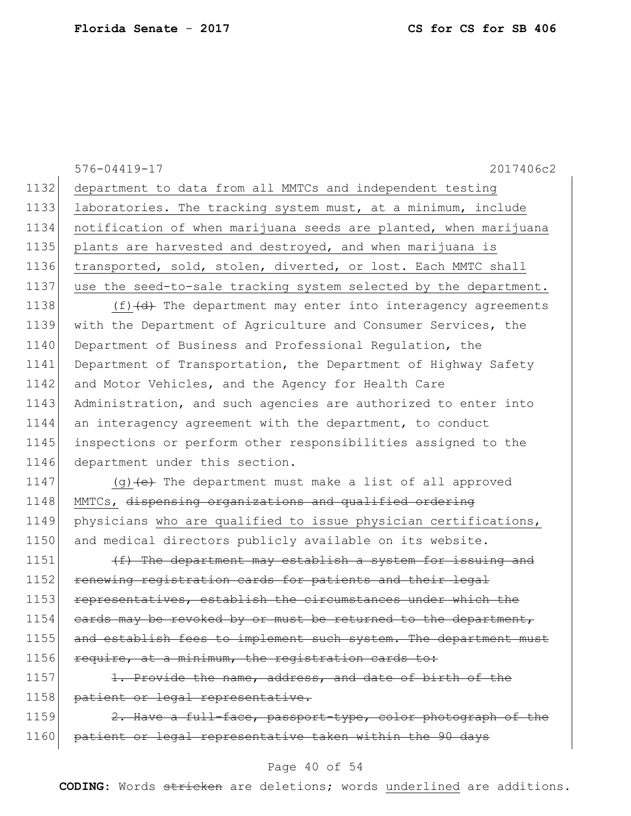|      | 576-04419-17<br>2017406c2                                        |
|------|------------------------------------------------------------------|
| 1132 | department to data from all MMTCs and independent testing        |
| 1133 | laboratories. The tracking system must, at a minimum, include    |
| 1134 | notification of when marijuana seeds are planted, when marijuana |
| 1135 | plants are harvested and destroyed, and when marijuana is        |
| 1136 | transported, sold, stolen, diverted, or lost. Each MMTC shall    |
| 1137 | use the seed-to-sale tracking system selected by the department. |
| 1138 | $(f)$ $(d)$ The department may enter into interagency agreements |
| 1139 | with the Department of Agriculture and Consumer Services, the    |
| 1140 | Department of Business and Professional Regulation, the          |
| 1141 | Department of Transportation, the Department of Highway Safety   |
| 1142 | and Motor Vehicles, and the Agency for Health Care               |
| 1143 | Administration, and such agencies are authorized to enter into   |
| 1144 | an interagency agreement with the department, to conduct         |
| 1145 | inspections or perform other responsibilities assigned to the    |
| 1146 | department under this section.                                   |
| 1147 | $(g)$ (e) The department must make a list of all approved        |
| 1148 | MMTCs, dispensing organizations and qualified ordering           |
| 1149 | physicians who are qualified to issue physician certifications,  |
| 1150 | and medical directors publicly available on its website.         |
| 1151 | (f) The department may establish a system for issuing and        |
| 1152 | renewing registration cards for patients and their legal         |
| 1153 | representatives, establish the circumstances under which the     |
| 1154 | eards may be revoked by or must be returned to the department,   |
| 1155 | and establish fees to implement such system. The department must |
| 1156 | require, at a minimum, the registration cards to:                |
| 1157 | 1. Provide the name, address, and date of birth of the           |
| 1158 | patient or legal representative.                                 |
| 1159 | 2. Have a full-face, passport-type, color photograph of the      |
| 1160 | patient or legal representative taken within the 90 days         |

# Page 40 of 54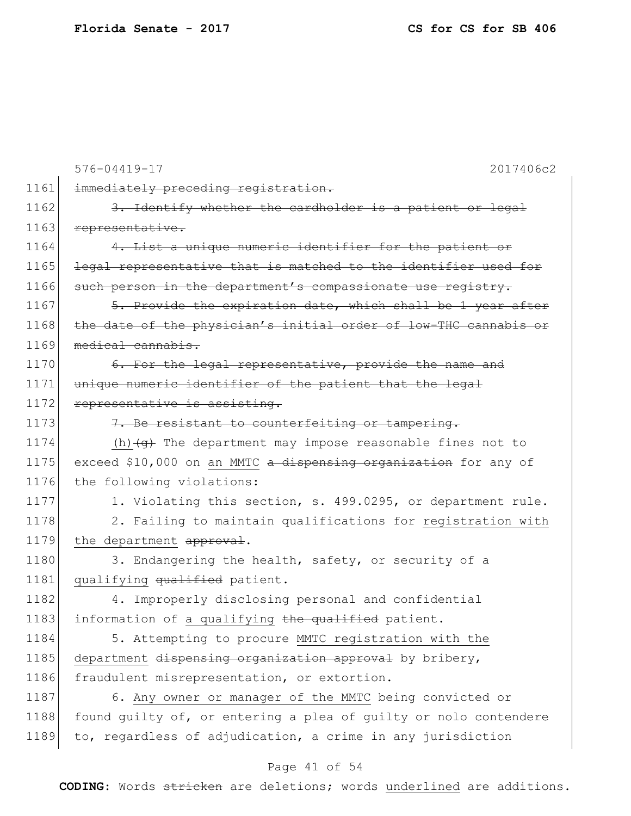|      | 576-04419-17<br>2017406c2                                             |
|------|-----------------------------------------------------------------------|
| 1161 | immediately preceding registration.                                   |
| 1162 | 3. Identify whether the cardholder is a patient or legal              |
| 1163 | representative.                                                       |
| 1164 | 4. List a unique numeric identifier for the patient or                |
| 1165 | legal representative that is matched to the identifier used for       |
| 1166 | such person in the department's compassionate use registry.           |
| 1167 | 5. Provide the expiration date, which shall be 1 year after           |
| 1168 | the date of the physician's initial order of low-THC cannabis or      |
| 1169 | medical cannabis.                                                     |
| 1170 | 6. For the legal representative, provide the name and                 |
| 1171 | unique numeric identifier of the patient that the legal               |
| 1172 | representative is assisting.                                          |
| 1173 | 7. Be resistant to counterfeiting or tampering.                       |
| 1174 | (h) $\overline{+g}$ The department may impose reasonable fines not to |
| 1175 | exceed \$10,000 on an MMTC a dispensing organization for any of       |
| 1176 | the following violations:                                             |
| 1177 | 1. Violating this section, s. 499.0295, or department rule.           |
| 1178 | 2. Failing to maintain qualifications for registration with           |
| 1179 | the department approval.                                              |
| 1180 | 3. Endangering the health, safety, or security of a                   |
| 1181 | qualifying qualified patient.                                         |
| 1182 | 4. Improperly disclosing personal and confidential                    |
| 1183 | information of a qualifying the qualified patient.                    |
| 1184 | 5. Attempting to procure MMTC registration with the                   |
| 1185 | department dispensing organization approval by bribery,               |
| 1186 | fraudulent misrepresentation, or extortion.                           |
| 1187 | 6. Any owner or manager of the MMTC being convicted or                |
| 1188 | found guilty of, or entering a plea of guilty or nolo contendere      |
| 1189 | to, regardless of adjudication, a crime in any jurisdiction           |
|      |                                                                       |

# Page 41 of 54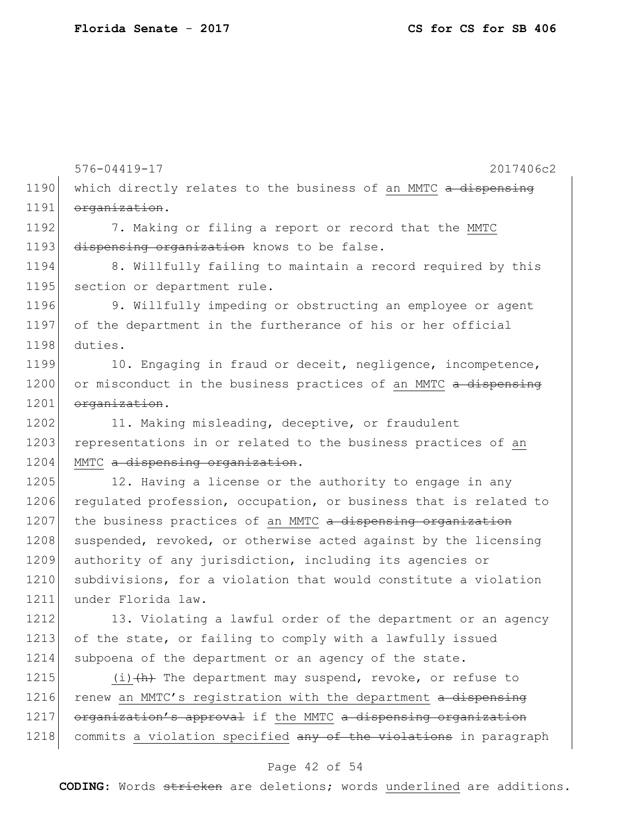576-04419-17 2017406c2 1190 which directly relates to the business of an MMTC a dispensing 1191 organization. 1192 7. Making or filing a report or record that the MMTC 1193 dispensing organization knows to be false. 1194 8. Willfully failing to maintain a record required by this 1195 section or department rule. 1196 9. Willfully impeding or obstructing an employee or agent 1197 of the department in the furtherance of his or her official 1198 duties. 1199 10. Engaging in fraud or deceit, negligence, incompetence, 1200 or misconduct in the business practices of an MMTC a dispensing 1201 organization. 1202 11. Making misleading, deceptive, or fraudulent 1203 representations in or related to the business practices of an 1204 MMTC a dispensing organization. 1205 12. Having a license or the authority to engage in any 1206 regulated profession, occupation, or business that is related to  $1207$  the business practices of an MMTC a dispensing organization 1208 suspended, revoked, or otherwise acted against by the licensing 1209 authority of any jurisdiction, including its agencies or 1210 subdivisions, for a violation that would constitute a violation 1211 under Florida law. 1212 13. Violating a lawful order of the department or an agency 1213 of the state, or failing to comply with a lawfully issued 1214 subpoena of the department or an agency of the state. 1215  $(i)$   $(h)$  The department may suspend, revoke, or refuse to 1216 renew an MMTC's registration with the department  $a$  dispensing 1217 organization's approval if the MMTC a dispensing organization 1218 commits a violation specified any of the violations in paragraph

#### Page 42 of 54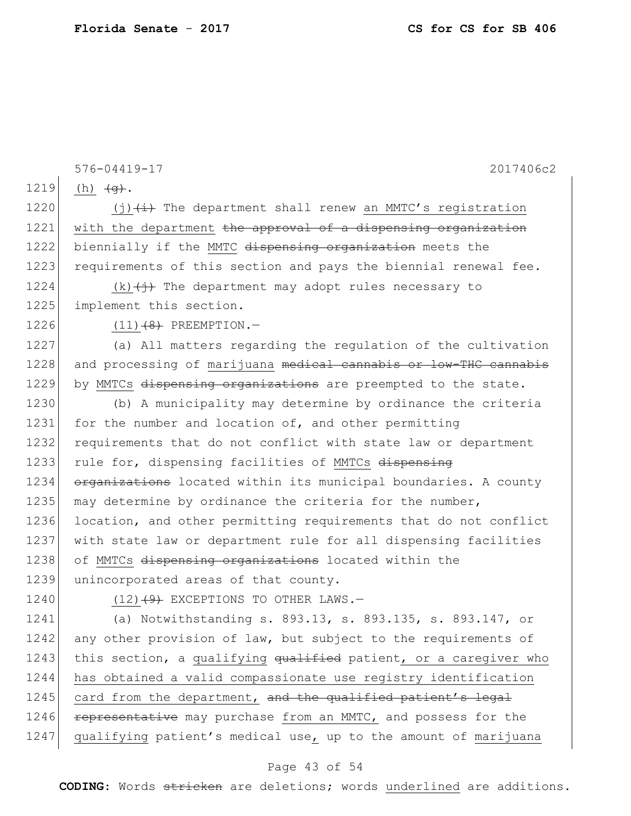576-04419-17 2017406c2 1219 (h)  $\frac{1219}{ }$ . 1220  $(j)$   $(i)$  The department shall renew an MMTC's registration 1221 | with the department the approval of a dispensing organization 1222 biennially if the MMTC dispensing organization meets the 1223 requirements of this section and pays the biennial renewal fee. 1224 (k) $\left(\frac{1}{2}\right)$  The department may adopt rules necessary to 1225 implement this section.  $1226$  (11)  $(8)$  PREEMPTION. -1227 (a) All matters regarding the regulation of the cultivation 1228 and processing of marijuana medical cannabis or low-THC cannabis 1229 by MMTCs dispensing organizations are preempted to the state. 1230 (b) A municipality may determine by ordinance the criteria 1231 for the number and location of, and other permitting 1232 requirements that do not conflict with state law or department 1233 rule for, dispensing facilities of MMTCs dispensing 1234 organizations located within its municipal boundaries. A county 1235 may determine by ordinance the criteria for the number, 1236 location, and other permitting requirements that do not conflict 1237 with state law or department rule for all dispensing facilities 1238 of MMTCs dispensing organizations located within the 1239 unincorporated areas of that county. 1240 (12) $(12)$  EXCEPTIONS TO OTHER LAWS. 1241 (a) Notwithstanding s. 893.13, s. 893.135, s. 893.147, or 1242 any other provision of law, but subject to the requirements of 1243 this section, a qualifying  $qualified$  patient, or a caregiver who 1244 has obtained a valid compassionate use registry identification 1245 card from the department, and the qualified patient's legal 1246 **representative** may purchase from an MMTC, and possess for the 1247 qualifying patient's medical use, up to the amount of marijuana

#### Page 43 of 54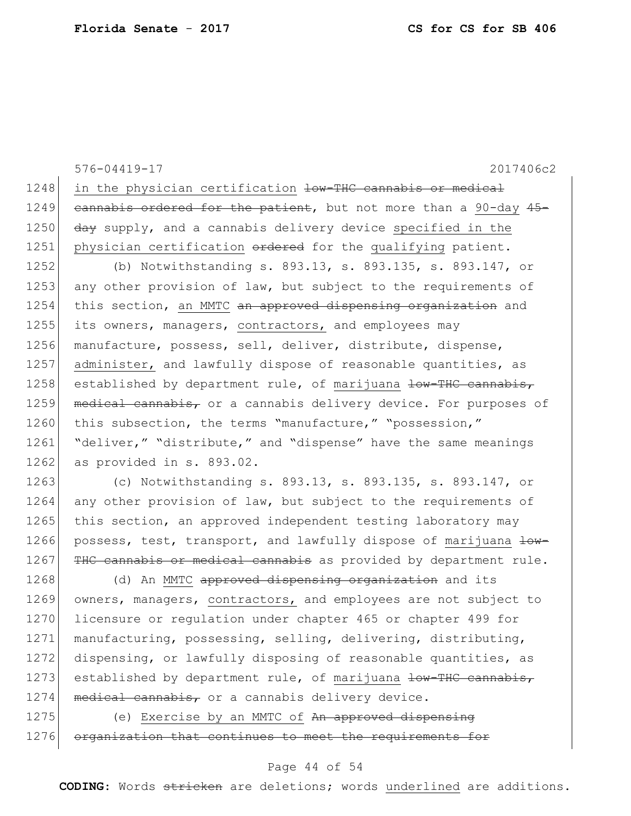576-04419-17 2017406c2 1248 in the physician certification low-THC cannabis or medical 1249 cannabis ordered for the patient, but not more than a 90-day  $45-$ 1250  $\frac{1250}{1250}$  day supply, and a cannabis delivery device specified in the 1251 physician certification ordered for the qualifying patient. 1252 (b) Notwithstanding s. 893.13, s. 893.135, s. 893.147, or 1253 any other provision of law, but subject to the requirements of 1254 this section, an MMTC an approved dispensing organization and 1255 its owners, managers, contractors, and employees may 1256 manufacture, possess, sell, deliver, distribute, dispense, 1257 administer, and lawfully dispose of reasonable quantities, as 1258 established by department rule, of marijuana low-THC cannabis, 1259 medical cannabis, or a cannabis delivery device. For purposes of 1260 this subsection, the terms "manufacture," "possession," 1261 "deliver," "distribute," and "dispense" have the same meanings 1262 as provided in s. 893.02. 1263 (c) Notwithstanding s. 893.13, s. 893.135, s. 893.147, or 1264 any other provision of law, but subject to the requirements of 1265 this section, an approved independent testing laboratory may 1266 possess, test, transport, and lawfully dispose of marijuana low-1267 THC cannabis or medical cannabis as provided by department rule. 1268 (d) An MMTC approved dispensing organization and its 1269 owners, managers, contractors, and employees are not subject to 1270 licensure or regulation under chapter 465 or chapter 499 for 1271 manufacturing, possessing, selling, delivering, distributing, 1272 dispensing, or lawfully disposing of reasonable quantities, as 1273 established by department rule, of marijuana low-THC cannabis,  $1274$  medical cannabis, or a cannabis delivery device. 1275 (e) Exercise by an MMTC of An approved dispensing 1276 organization that continues to meet the requirements for

### Page 44 of 54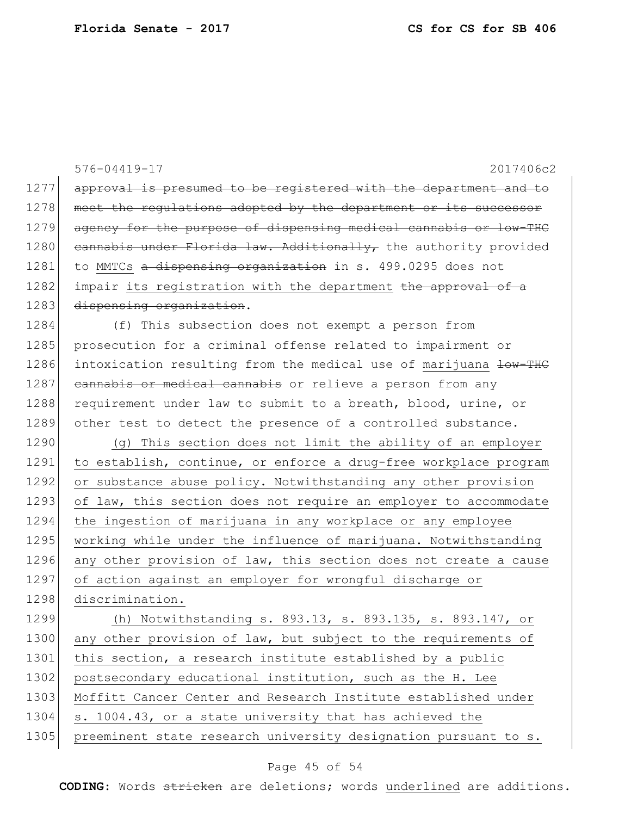|      | 576-04419-17<br>2017406c2                                        |
|------|------------------------------------------------------------------|
| 1277 | approval is presumed to be registered with the department and to |
| 1278 | meet the regulations adopted by the department or its successor  |
| 1279 | agency for the purpose of dispensing medical cannabis or low-THC |
| 1280 | cannabis under Florida law. Additionally, the authority provided |
| 1281 | to MMTCs a dispensing organization in s. 499.0295 does not       |
| 1282 | impair its registration with the department the approval of a    |
| 1283 | dispensing organization.                                         |
| 1284 | (f) This subsection does not exempt a person from                |
| 1285 | prosecution for a criminal offense related to impairment or      |
| 1286 | intoxication resulting from the medical use of marijuana low-THC |
| 1287 | cannabis or medical cannabis or relieve a person from any        |
| 1288 | requirement under law to submit to a breath, blood, urine, or    |
| 1289 | other test to detect the presence of a controlled substance.     |
| 1290 | (q) This section does not limit the ability of an employer       |
| 1291 | to establish, continue, or enforce a drug-free workplace program |
| 1292 | or substance abuse policy. Notwithstanding any other provision   |
| 1293 | of law, this section does not require an employer to accommodate |
| 1294 | the ingestion of marijuana in any workplace or any employee      |
| 1295 | working while under the influence of marijuana. Notwithstanding  |
| 1296 | any other provision of law, this section does not create a cause |
| 1297 | of action against an employer for wrongful discharge or          |
| 1298 | discrimination.                                                  |
| 1299 | (h) Notwithstanding s. 893.13, s. 893.135, s. 893.147, or        |
| 1300 | any other provision of law, but subject to the requirements of   |
| 1301 | this section, a research institute established by a public       |
| 1302 | postsecondary educational institution, such as the H. Lee        |
| 1303 | Moffitt Cancer Center and Research Institute established under   |
| 1304 | s. 1004.43, or a state university that has achieved the          |
| 1305 | preeminent state research university designation pursuant to s.  |

# Page 45 of 54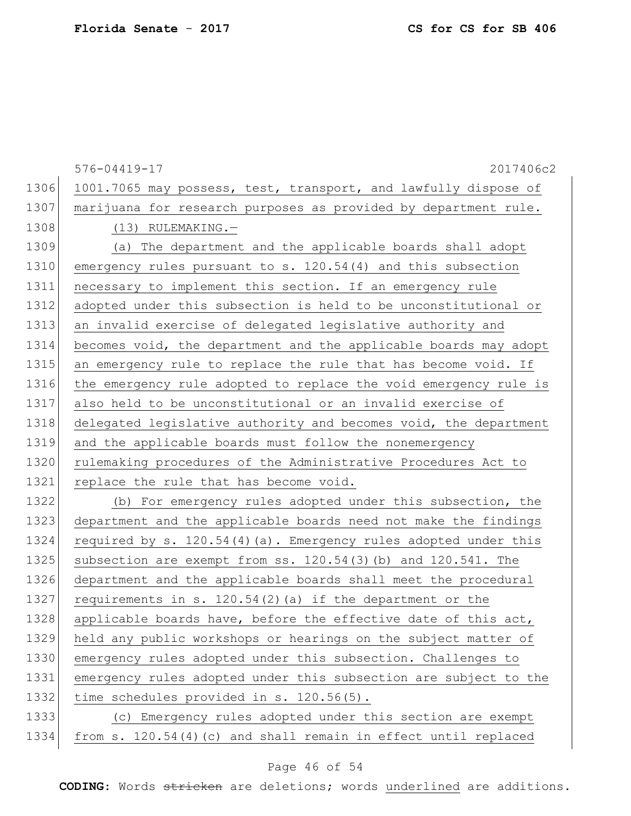576-04419-17 2017406c2 1306 1001.7065 may possess, test, transport, and lawfully dispose of 1307 | marijuana for research purposes as provided by department rule. 1308 (13) RULEMAKING. 1309 (a) The department and the applicable boards shall adopt 1310 emergency rules pursuant to s. 120.54(4) and this subsection 1311 necessary to implement this section. If an emergency rule 1312 adopted under this subsection is held to be unconstitutional or 1313 an invalid exercise of delegated legislative authority and 1314 becomes void, the department and the applicable boards may adopt 1315 an emergency rule to replace the rule that has become void. If 1316 the emergency rule adopted to replace the void emergency rule is 1317 also held to be unconstitutional or an invalid exercise of 1318 delegated legislative authority and becomes void, the department 1319 and the applicable boards must follow the nonemergency 1320 rulemaking procedures of the Administrative Procedures Act to 1321 replace the rule that has become void. 1322 (b) For emergency rules adopted under this subsection, the 1323 department and the applicable boards need not make the findings 1324 required by s. 120.54(4)(a). Emergency rules adopted under this 1325 subsection are exempt from ss. 120.54(3)(b) and 120.541. The 1326 department and the applicable boards shall meet the procedural 1327 requirements in s. 120.54(2)(a) if the department or the 1328 applicable boards have, before the effective date of this act, 1329 held any public workshops or hearings on the subject matter of 1330 emergency rules adopted under this subsection. Challenges to 1331 emergency rules adopted under this subsection are subject to the 1332 time schedules provided in s. 120.56(5). 1333 (c) Emergency rules adopted under this section are exempt 1334 from s. 120.54(4)(c) and shall remain in effect until replaced

### Page 46 of 54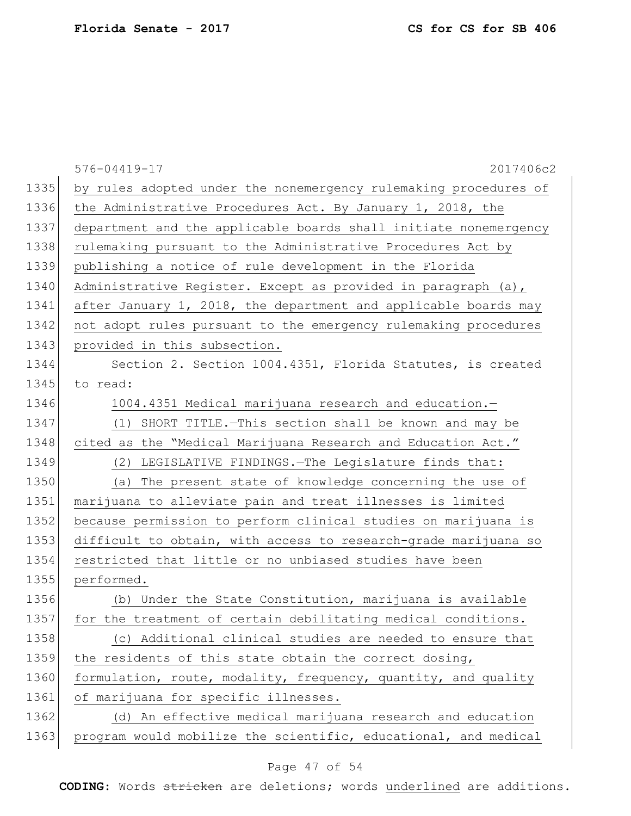|      | 2017406c2<br>576-04419-17                                        |
|------|------------------------------------------------------------------|
| 1335 | by rules adopted under the nonemergency rulemaking procedures of |
| 1336 | the Administrative Procedures Act. By January 1, 2018, the       |
| 1337 | department and the applicable boards shall initiate nonemergency |
| 1338 | rulemaking pursuant to the Administrative Procedures Act by      |
| 1339 | publishing a notice of rule development in the Florida           |
| 1340 | Administrative Register. Except as provided in paragraph (a),    |
| 1341 | after January 1, 2018, the department and applicable boards may  |
| 1342 | not adopt rules pursuant to the emergency rulemaking procedures  |
| 1343 | provided in this subsection.                                     |
| 1344 | Section 2. Section 1004.4351, Florida Statutes, is created       |
| 1345 | to read:                                                         |
| 1346 | 1004.4351 Medical marijuana research and education.-             |
| 1347 | (1) SHORT TITLE. - This section shall be known and may be        |
| 1348 | cited as the "Medical Marijuana Research and Education Act."     |
| 1349 | LEGISLATIVE FINDINGS. - The Legislature finds that:<br>(2)       |
| 1350 | The present state of knowledge concerning the use of<br>(a)      |
| 1351 | marijuana to alleviate pain and treat illnesses is limited       |
| 1352 | because permission to perform clinical studies on marijuana is   |
| 1353 | difficult to obtain, with access to research-grade marijuana so  |
| 1354 | restricted that little or no unbiased studies have been          |
| 1355 | performed.                                                       |
| 1356 | (b) Under the State Constitution, marijuana is available         |
| 1357 | for the treatment of certain debilitating medical conditions.    |
| 1358 | (c) Additional clinical studies are needed to ensure that        |
| 1359 | the residents of this state obtain the correct dosing,           |
| 1360 | formulation, route, modality, frequency, quantity, and quality   |
| 1361 | of marijuana for specific illnesses.                             |
| 1362 | (d) An effective medical marijuana research and education        |
| 1363 | program would mobilize the scientific, educational, and medical  |

# Page 47 of 54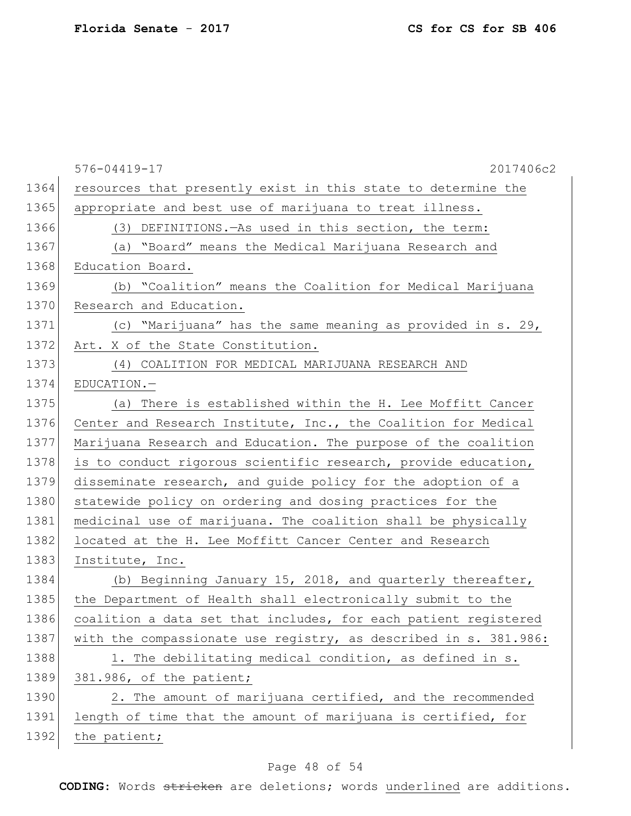|      | 2017406c2<br>576-04419-17                                        |
|------|------------------------------------------------------------------|
| 1364 | resources that presently exist in this state to determine the    |
| 1365 | appropriate and best use of marijuana to treat illness.          |
| 1366 | (3) DEFINITIONS. - As used in this section, the term:            |
| 1367 | (a) "Board" means the Medical Marijuana Research and             |
| 1368 | Education Board.                                                 |
| 1369 | (b) "Coalition" means the Coalition for Medical Marijuana        |
| 1370 | Research and Education.                                          |
| 1371 | (c) "Marijuana" has the same meaning as provided in s. 29,       |
| 1372 | Art. X of the State Constitution.                                |
| 1373 | (4) COALITION FOR MEDICAL MARIJUANA RESEARCH AND                 |
| 1374 | EDUCATION.-                                                      |
| 1375 | (a) There is established within the H. Lee Moffitt Cancer        |
| 1376 | Center and Research Institute, Inc., the Coalition for Medical   |
| 1377 | Marijuana Research and Education. The purpose of the coalition   |
| 1378 | is to conduct rigorous scientific research, provide education,   |
| 1379 | disseminate research, and guide policy for the adoption of a     |
| 1380 | statewide policy on ordering and dosing practices for the        |
| 1381 | medicinal use of marijuana. The coalition shall be physically    |
| 1382 | located at the H. Lee Moffitt Cancer Center and Research         |
| 1383 | Institute, Inc.                                                  |
| 1384 | (b) Beginning January 15, 2018, and quarterly thereafter,        |
| 1385 | the Department of Health shall electronically submit to the      |
| 1386 | coalition a data set that includes, for each patient registered  |
| 1387 | with the compassionate use registry, as described in s. 381.986: |
| 1388 | 1. The debilitating medical condition, as defined in s.          |
| 1389 | 381.986, of the patient;                                         |
| 1390 | 2. The amount of marijuana certified, and the recommended        |
| 1391 | length of time that the amount of marijuana is certified, for    |
| 1392 | the patient;                                                     |
|      |                                                                  |

# Page 48 of 54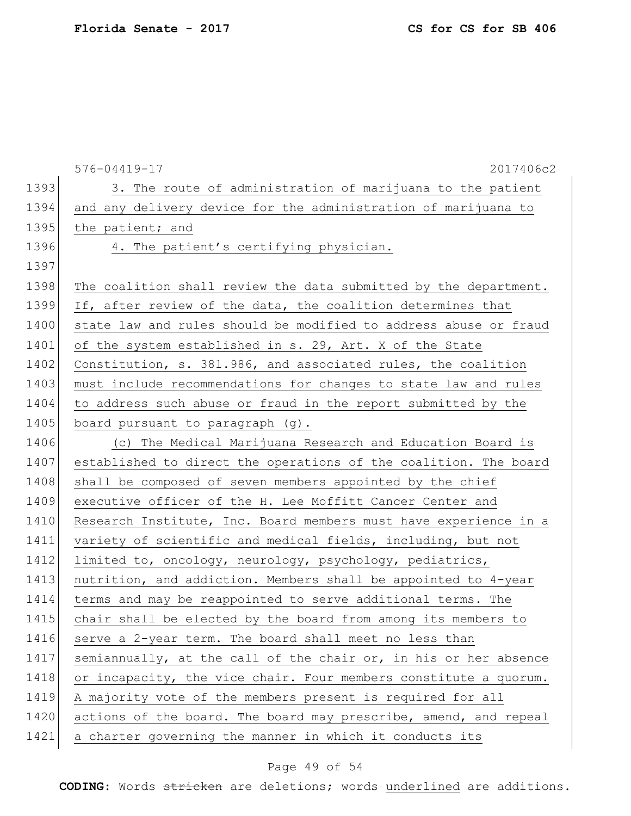|      | 576-04419-17<br>2017406c2                                        |
|------|------------------------------------------------------------------|
| 1393 | 3. The route of administration of marijuana to the patient       |
| 1394 | and any delivery device for the administration of marijuana to   |
| 1395 | the patient; and                                                 |
| 1396 | 4. The patient's certifying physician.                           |
| 1397 |                                                                  |
| 1398 | The coalition shall review the data submitted by the department. |
| 1399 | If, after review of the data, the coalition determines that      |
| 1400 | state law and rules should be modified to address abuse or fraud |
| 1401 | of the system established in s. 29, Art. X of the State          |
| 1402 | Constitution, s. 381.986, and associated rules, the coalition    |
| 1403 | must include recommendations for changes to state law and rules  |
| 1404 | to address such abuse or fraud in the report submitted by the    |
| 1405 | board pursuant to paragraph (g).                                 |
| 1406 | (c) The Medical Marijuana Research and Education Board is        |
| 1407 | established to direct the operations of the coalition. The board |
| 1408 | shall be composed of seven members appointed by the chief        |
| 1409 | executive officer of the H. Lee Moffitt Cancer Center and        |
| 1410 | Research Institute, Inc. Board members must have experience in a |
| 1411 | variety of scientific and medical fields, including, but not     |
| 1412 | limited to, oncology, neurology, psychology, pediatrics,         |
| 1413 | nutrition, and addiction. Members shall be appointed to 4-year   |
| 1414 | terms and may be reappointed to serve additional terms. The      |
| 1415 | chair shall be elected by the board from among its members to    |
| 1416 | serve a 2-year term. The board shall meet no less than           |
| 1417 | semiannually, at the call of the chair or, in his or her absence |
| 1418 | or incapacity, the vice chair. Four members constitute a quorum. |
| 1419 | A majority vote of the members present is required for all       |
| 1420 | actions of the board. The board may prescribe, amend, and repeal |
| 1421 | a charter governing the manner in which it conducts its          |

# Page 49 of 54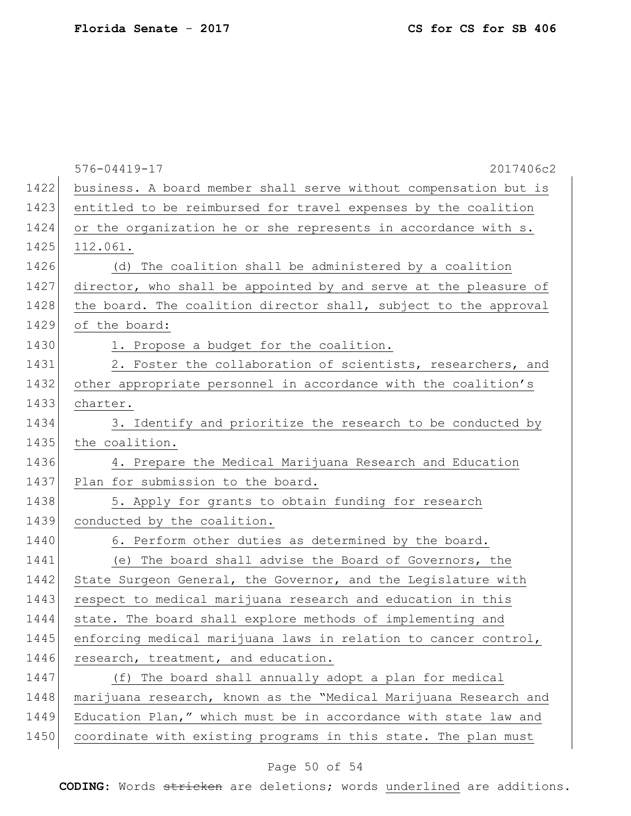|      | 576-04419-17<br>2017406c2                                        |
|------|------------------------------------------------------------------|
| 1422 | business. A board member shall serve without compensation but is |
| 1423 | entitled to be reimbursed for travel expenses by the coalition   |
| 1424 | or the organization he or she represents in accordance with s.   |
| 1425 | 112.061.                                                         |
| 1426 | (d) The coalition shall be administered by a coalition           |
| 1427 | director, who shall be appointed by and serve at the pleasure of |
| 1428 | the board. The coalition director shall, subject to the approval |
| 1429 | of the board:                                                    |
| 1430 | 1. Propose a budget for the coalition.                           |
| 1431 | 2. Foster the collaboration of scientists, researchers, and      |
| 1432 | other appropriate personnel in accordance with the coalition's   |
| 1433 | charter.                                                         |
| 1434 | 3. Identify and prioritize the research to be conducted by       |
| 1435 | the coalition.                                                   |
| 1436 | 4. Prepare the Medical Marijuana Research and Education          |
| 1437 | Plan for submission to the board.                                |
| 1438 | 5. Apply for grants to obtain funding for research               |
| 1439 | conducted by the coalition.                                      |
| 1440 | 6. Perform other duties as determined by the board.              |
| 1441 | (e) The board shall advise the Board of Governors, the           |
| 1442 | State Surgeon General, the Governor, and the Legislature with    |
| 1443 | respect to medical marijuana research and education in this      |
| 1444 | state. The board shall explore methods of implementing and       |
| 1445 | enforcing medical marijuana laws in relation to cancer control,  |
| 1446 | research, treatment, and education.                              |
| 1447 | (f) The board shall annually adopt a plan for medical            |
| 1448 | marijuana research, known as the "Medical Marijuana Research and |
| 1449 | Education Plan," which must be in accordance with state law and  |
| 1450 | coordinate with existing programs in this state. The plan must   |

# Page 50 of 54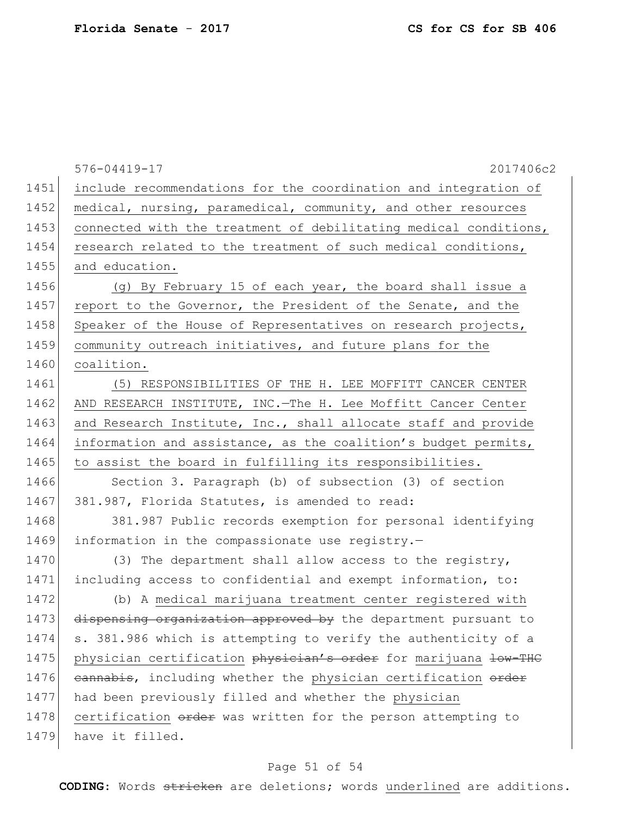|      | $576 - 04419 - 17$<br>2017406c2                                  |
|------|------------------------------------------------------------------|
| 1451 | include recommendations for the coordination and integration of  |
| 1452 | medical, nursing, paramedical, community, and other resources    |
| 1453 | connected with the treatment of debilitating medical conditions, |
| 1454 | research related to the treatment of such medical conditions,    |
| 1455 | and education.                                                   |
| 1456 | (g) By February 15 of each year, the board shall issue a         |
| 1457 | report to the Governor, the President of the Senate, and the     |
| 1458 | Speaker of the House of Representatives on research projects,    |
| 1459 | community outreach initiatives, and future plans for the         |
| 1460 | coalition.                                                       |
| 1461 | (5) RESPONSIBILITIES OF THE H. LEE MOFFITT CANCER CENTER         |
| 1462 | AND RESEARCH INSTITUTE, INC. - The H. Lee Moffitt Cancer Center  |
| 1463 | and Research Institute, Inc., shall allocate staff and provide   |
| 1464 | information and assistance, as the coalition's budget permits,   |
| 1465 | to assist the board in fulfilling its responsibilities.          |
| 1466 | Section 3. Paragraph (b) of subsection (3) of section            |
| 1467 | 381.987, Florida Statutes, is amended to read:                   |
| 1468 | 381.987 Public records exemption for personal identifying        |
| 1469 | information in the compassionate use registry.-                  |
| 1470 | (3) The department shall allow access to the registry,           |
| 1471 | including access to confidential and exempt information, to:     |
| 1472 | (b) A medical marijuana treatment center registered with         |
| 1473 | dispensing organization approved by the department pursuant to   |
| 1474 | s. 381.986 which is attempting to verify the authenticity of a   |
| 1475 | physician certification physician's order for marijuana low-THC  |
| 1476 | eannabis, including whether the physician certification order    |
| 1477 | had been previously filled and whether the physician             |
| 1478 | certification order was written for the person attempting to     |
| 1479 | have it filled.                                                  |

# Page 51 of 54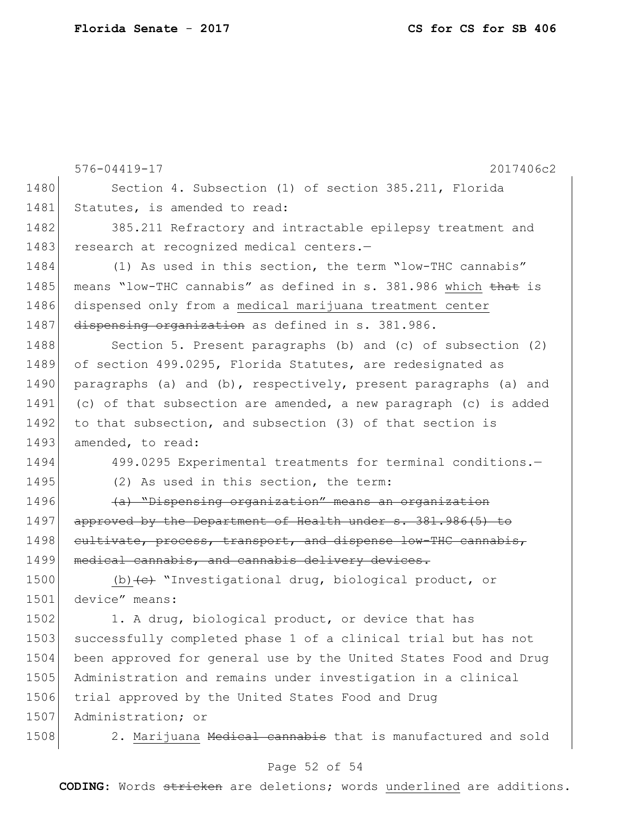|      | $576 - 04419 - 17$<br>2017406c2                                  |
|------|------------------------------------------------------------------|
| 1480 | Section 4. Subsection (1) of section 385.211, Florida            |
| 1481 | Statutes, is amended to read:                                    |
| 1482 | 385.211 Refractory and intractable epilepsy treatment and        |
| 1483 | research at recognized medical centers.-                         |
| 1484 | (1) As used in this section, the term "low-THC cannabis"         |
| 1485 | means "low-THC cannabis" as defined in s. 381.986 which that is  |
| 1486 | dispensed only from a medical marijuana treatment center         |
| 1487 | dispensing organization as defined in s. 381.986.                |
| 1488 | Section 5. Present paragraphs (b) and (c) of subsection (2)      |
| 1489 | of section 499.0295, Florida Statutes, are redesignated as       |
| 1490 | paragraphs (a) and (b), respectively, present paragraphs (a) and |
| 1491 | (c) of that subsection are amended, a new paragraph (c) is added |
| 1492 | to that subsection, and subsection (3) of that section is        |
| 1493 | amended, to read:                                                |
| 1494 | 499.0295 Experimental treatments for terminal conditions.-       |
| 1495 | (2) As used in this section, the term:                           |
| 1496 | (a) "Dispensing organization" means an organization              |
| 1497 | approved by the Department of Health under s. 381.986(5) to      |
| 1498 | cultivate, process, transport, and dispense low-THC cannabis,    |
| 1499 | medical cannabis, and cannabis delivery devices.                 |
| 1500 | (b) $(e)$ "Investigational drug, biological product, or          |
| 1501 | device" means:                                                   |
| 1502 | 1. A drug, biological product, or device that has                |
| 1503 | successfully completed phase 1 of a clinical trial but has not   |
| 1504 | been approved for general use by the United States Food and Drug |
| 1505 | Administration and remains under investigation in a clinical     |
| 1506 | trial approved by the United States Food and Drug                |
| 1507 | Administration; or                                               |
| 1508 | 2. Marijuana Medical cannabis that is manufactured and sold      |

# Page 52 of 54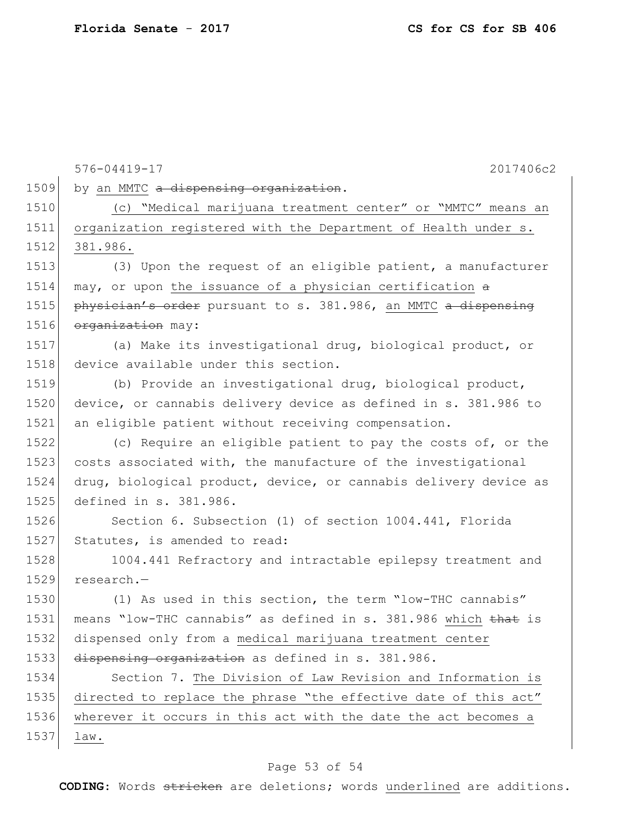576-04419-17 2017406c2 1509 by an MMTC a dispensing organization. 1510 (c) "Medical marijuana treatment center" or "MMTC" means an 1511 organization registered with the Department of Health under s. 1512 381.986. 1513 (3) Upon the request of an eligible patient, a manufacturer 1514 may, or upon the issuance of a physician certification  $\theta$ 1515 **physician's order** pursuant to s. 381.986, an MMTC a dispensing 1516 organization may: 1517 (a) Make its investigational drug, biological product, or 1518 device available under this section. 1519 (b) Provide an investigational drug, biological product, 1520 device, or cannabis delivery device as defined in s. 381.986 to 1521 an eligible patient without receiving compensation. 1522 (c) Require an eligible patient to pay the costs of, or the 1523 costs associated with, the manufacture of the investigational 1524 drug, biological product, device, or cannabis delivery device as 1525 defined in s. 381.986. 1526 Section 6. Subsection (1) of section 1004.441, Florida 1527 Statutes, is amended to read: 1528 1004.441 Refractory and intractable epilepsy treatment and 1529 research.— 1530 (1) As used in this section, the term "low-THC cannabis" 1531 means "low-THC cannabis" as defined in s. 381.986 which that is 1532 dispensed only from a medical marijuana treatment center 1533 dispensing organization as defined in s. 381.986. 1534 Section 7. The Division of Law Revision and Information is 1535 directed to replace the phrase "the effective date of this act" 1536 wherever it occurs in this act with the date the act becomes a 1537 law.

### Page 53 of 54